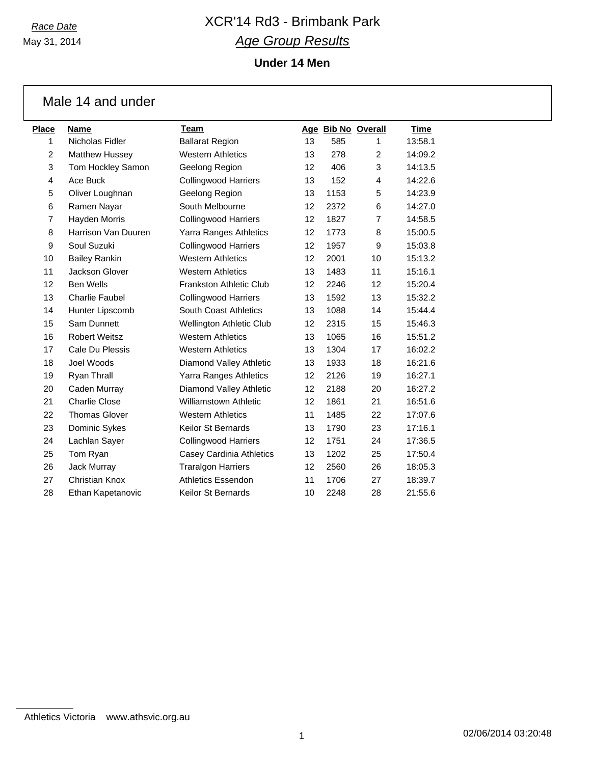May 31, 2014

# *Race Date* XCR'14 Rd3 - Brimbank Park *Age Group Results*

**Under 14 Men**

|                | Male 14 and under     |                                |    |      |                    |             |
|----------------|-----------------------|--------------------------------|----|------|--------------------|-------------|
| <b>Place</b>   | <b>Name</b>           | <b>Team</b>                    |    |      | Age Bib No Overall | <u>Time</u> |
| $\mathbf{1}$   | Nicholas Fidler       | <b>Ballarat Region</b>         | 13 | 585  | 1                  | 13:58.1     |
| $\overline{c}$ | <b>Matthew Hussey</b> | <b>Western Athletics</b>       | 13 | 278  | 2                  | 14:09.2     |
| 3              | Tom Hockley Samon     | Geelong Region                 | 12 | 406  | 3                  | 14:13.5     |
| 4              | Ace Buck              | <b>Collingwood Harriers</b>    | 13 | 152  | 4                  | 14:22.6     |
| 5              | Oliver Loughnan       | Geelong Region                 | 13 | 1153 | 5                  | 14:23.9     |
| 6              | Ramen Nayar           | South Melbourne                | 12 | 2372 | 6                  | 14:27.0     |
| $\overline{7}$ | Hayden Morris         | <b>Collingwood Harriers</b>    | 12 | 1827 | $\overline{7}$     | 14:58.5     |
| 8              | Harrison Van Duuren   | Yarra Ranges Athletics         | 12 | 1773 | 8                  | 15:00.5     |
| 9              | Soul Suzuki           | <b>Collingwood Harriers</b>    | 12 | 1957 | 9                  | 15:03.8     |
| 10             | <b>Bailey Rankin</b>  | <b>Western Athletics</b>       | 12 | 2001 | 10                 | 15:13.2     |
| 11             | Jackson Glover        | <b>Western Athletics</b>       | 13 | 1483 | 11                 | 15:16.1     |
| 12             | <b>Ben Wells</b>      | <b>Frankston Athletic Club</b> | 12 | 2246 | 12                 | 15:20.4     |
| 13             | <b>Charlie Faubel</b> | <b>Collingwood Harriers</b>    | 13 | 1592 | 13                 | 15:32.2     |
| 14             | Hunter Lipscomb       | South Coast Athletics          | 13 | 1088 | 14                 | 15:44.4     |
| 15             | Sam Dunnett           | Wellington Athletic Club       | 12 | 2315 | 15                 | 15:46.3     |
| 16             | <b>Robert Weitsz</b>  | <b>Western Athletics</b>       | 13 | 1065 | 16                 | 15:51.2     |
| 17             | Cale Du Plessis       | <b>Western Athletics</b>       | 13 | 1304 | 17                 | 16:02.2     |
| 18             | Joel Woods            | Diamond Valley Athletic        | 13 | 1933 | 18                 | 16:21.6     |
| 19             | Ryan Thrall           | Yarra Ranges Athletics         | 12 | 2126 | 19                 | 16:27.1     |
| 20             | Caden Murray          | Diamond Valley Athletic        | 12 | 2188 | 20                 | 16:27.2     |
| 21             | <b>Charlie Close</b>  | <b>Williamstown Athletic</b>   | 12 | 1861 | 21                 | 16:51.6     |
| 22             | <b>Thomas Glover</b>  | <b>Western Athletics</b>       | 11 | 1485 | 22                 | 17:07.6     |
| 23             | Dominic Sykes         | Keilor St Bernards             | 13 | 1790 | 23                 | 17:16.1     |
| 24             | Lachlan Sayer         | <b>Collingwood Harriers</b>    | 12 | 1751 | 24                 | 17:36.5     |
| 25             | Tom Ryan              | Casey Cardinia Athletics       | 13 | 1202 | 25                 | 17:50.4     |
| 26             | Jack Murray           | <b>Traralgon Harriers</b>      | 12 | 2560 | 26                 | 18:05.3     |
| 27             | <b>Christian Knox</b> | <b>Athletics Essendon</b>      | 11 | 1706 | 27                 | 18:39.7     |
| 28             | Ethan Kapetanovic     | Keilor St Bernards             | 10 | 2248 | 28                 | 21:55.6     |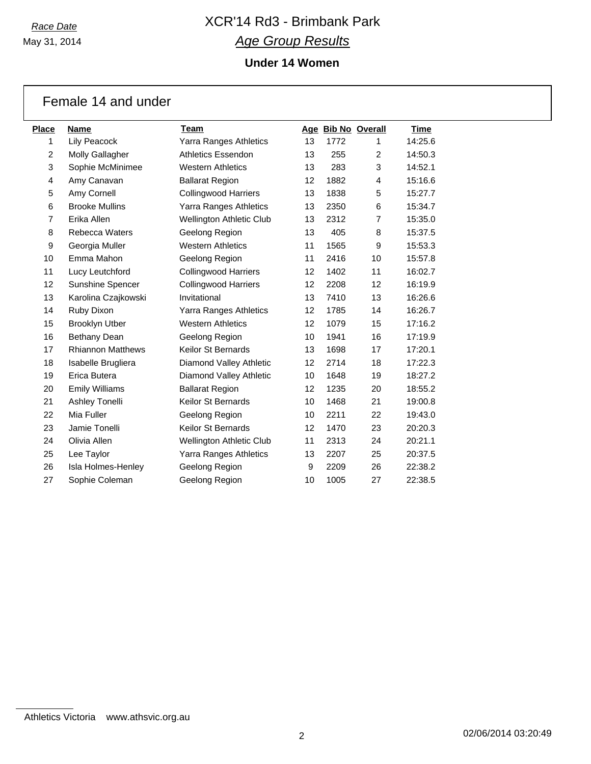May 31, 2014

# *Race Date* XCR'14 Rd3 - Brimbank Park *Age Group Results*

## **Under 14 Women**

| <b>Place</b>   | <b>Name</b>              | Team                            |                   | Age Bib No Overall |                | <b>Time</b> |
|----------------|--------------------------|---------------------------------|-------------------|--------------------|----------------|-------------|
| 1              | Lily Peacock             | Yarra Ranges Athletics          | 13                | 1772               | 1              | 14:25.6     |
| $\overline{2}$ | Molly Gallagher          | Athletics Essendon              | 13                | 255                | $\overline{2}$ | 14:50.3     |
| 3              | Sophie McMinimee         | <b>Western Athletics</b>        | 13                | 283                | 3              | 14:52.1     |
| 4              | Amy Canavan              | <b>Ballarat Region</b>          | 12 <sup>2</sup>   | 1882               | 4              | 15:16.6     |
| 5              | Amy Cornell              | <b>Collingwood Harriers</b>     | 13                | 1838               | 5              | 15:27.7     |
| 6              | <b>Brooke Mullins</b>    | Yarra Ranges Athletics          | 13                | 2350               | 6              | 15:34.7     |
| $\overline{7}$ | Erika Allen              | Wellington Athletic Club        | 13                | 2312               | $\overline{7}$ | 15:35.0     |
| 8              | <b>Rebecca Waters</b>    | Geelong Region                  | 13                | 405                | 8              | 15:37.5     |
| 9              | Georgia Muller           | <b>Western Athletics</b>        | 11                | 1565               | 9              | 15:53.3     |
| 10             | Emma Mahon               | Geelong Region                  | 11                | 2416               | 10             | 15:57.8     |
| 11             | Lucy Leutchford          | <b>Collingwood Harriers</b>     | 12                | 1402               | 11             | 16:02.7     |
| 12             | Sunshine Spencer         | <b>Collingwood Harriers</b>     | 12                | 2208               | 12             | 16:19.9     |
| 13             | Karolina Czajkowski      | Invitational                    | 13                | 7410               | 13             | 16:26.6     |
| 14             | Ruby Dixon               | Yarra Ranges Athletics          | $12 \overline{ }$ | 1785               | 14             | 16:26.7     |
| 15             | <b>Brooklyn Utber</b>    | <b>Western Athletics</b>        | 12                | 1079               | 15             | 17:16.2     |
| 16             | Bethany Dean             | Geelong Region                  | 10                | 1941               | 16             | 17:19.9     |
| 17             | <b>Rhiannon Matthews</b> | Keilor St Bernards              | 13                | 1698               | 17             | 17:20.1     |
| 18             | Isabelle Brugliera       | Diamond Valley Athletic         | $12 \overline{ }$ | 2714               | 18             | 17:22.3     |
| 19             | Erica Butera             | Diamond Valley Athletic         | 10                | 1648               | 19             | 18:27.2     |
| 20             | <b>Emily Williams</b>    | <b>Ballarat Region</b>          | $12 \overline{ }$ | 1235               | 20             | 18:55.2     |
| 21             | Ashley Tonelli           | <b>Keilor St Bernards</b>       | 10                | 1468               | 21             | 19:00.8     |
| 22             | Mia Fuller               | Geelong Region                  | 10                | 2211               | 22             | 19:43.0     |
| 23             | Jamie Tonelli            | Keilor St Bernards              | $12 \overline{ }$ | 1470               | 23             | 20:20.3     |
| 24             | Olivia Allen             | <b>Wellington Athletic Club</b> | 11                | 2313               | 24             | 20:21.1     |
| 25             | Lee Taylor               | Yarra Ranges Athletics          | 13                | 2207               | 25             | 20:37.5     |
| 26             | Isla Holmes-Henley       | Geelong Region                  | 9                 | 2209               | 26             | 22:38.2     |
| 27             | Sophie Coleman           | Geelong Region                  | 10                | 1005               | 27             | 22:38.5     |

### Female 14 and under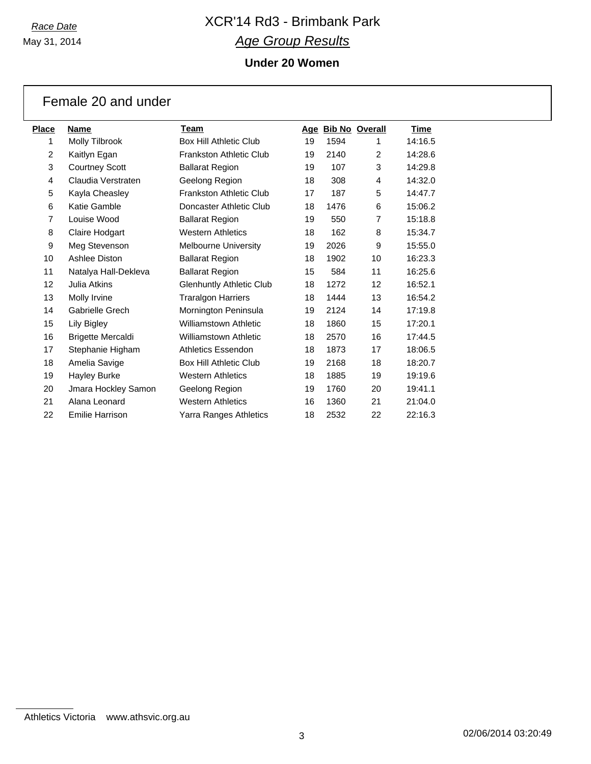May 31, 2014

Female 20 and under

# *Race Date* XCR'14 Rd3 - Brimbank Park *Age Group Results*

## **Under 20 Women**

| <b>Place</b>   | Name                     | Team                            | Age |      | <b>Bib No Overall</b> | Time    |
|----------------|--------------------------|---------------------------------|-----|------|-----------------------|---------|
| 1              | Molly Tilbrook           | <b>Box Hill Athletic Club</b>   | 19  | 1594 | 1                     | 14:16.5 |
| $\overline{2}$ | Kaitlyn Egan             | <b>Frankston Athletic Club</b>  | 19  | 2140 | $\overline{2}$        | 14:28.6 |
| 3              | <b>Courtney Scott</b>    | <b>Ballarat Region</b>          | 19  | 107  | 3                     | 14:29.8 |
| 4              | Claudia Verstraten       | Geelong Region                  | 18  | 308  | 4                     | 14:32.0 |
| 5              | Kayla Cheasley           | <b>Frankston Athletic Club</b>  | 17  | 187  | 5                     | 14:47.7 |
| 6              | Katie Gamble             | Doncaster Athletic Club         | 18  | 1476 | 6                     | 15:06.2 |
| $\overline{7}$ | Louise Wood              | <b>Ballarat Region</b>          | 19  | 550  | $\overline{7}$        | 15:18.8 |
| 8              | Claire Hodgart           | <b>Western Athletics</b>        | 18  | 162  | 8                     | 15:34.7 |
| 9              | Meg Stevenson            | <b>Melbourne University</b>     | 19  | 2026 | 9                     | 15:55.0 |
| 10             | Ashlee Diston            | <b>Ballarat Region</b>          | 18  | 1902 | 10                    | 16:23.3 |
| 11             | Natalya Hall-Dekleva     | <b>Ballarat Region</b>          | 15  | 584  | 11                    | 16:25.6 |
| 12             | Julia Atkins             | <b>Glenhuntly Athletic Club</b> | 18  | 1272 | 12                    | 16:52.1 |
| 13             | Molly Irvine             | <b>Traralgon Harriers</b>       | 18  | 1444 | 13                    | 16:54.2 |
| 14             | <b>Gabrielle Grech</b>   | Mornington Peninsula            | 19  | 2124 | 14                    | 17:19.8 |
| 15             | Lily Bigley              | <b>Williamstown Athletic</b>    | 18  | 1860 | 15                    | 17:20.1 |
| 16             | <b>Brigette Mercaldi</b> | <b>Williamstown Athletic</b>    | 18  | 2570 | 16                    | 17:44.5 |
| 17             | Stephanie Higham         | <b>Athletics Essendon</b>       | 18  | 1873 | 17                    | 18:06.5 |
| 18             | Amelia Savige            | <b>Box Hill Athletic Club</b>   | 19  | 2168 | 18                    | 18:20.7 |
| 19             | Hayley Burke             | <b>Western Athletics</b>        | 18  | 1885 | 19                    | 19:19.6 |
| 20             | Jmara Hockley Samon      | Geelong Region                  | 19  | 1760 | 20                    | 19:41.1 |
| 21             | Alana Leonard            | <b>Western Athletics</b>        | 16  | 1360 | 21                    | 21:04.0 |
| 22             | Emilie Harrison          | Yarra Ranges Athletics          | 18  | 2532 | 22                    | 22:16.3 |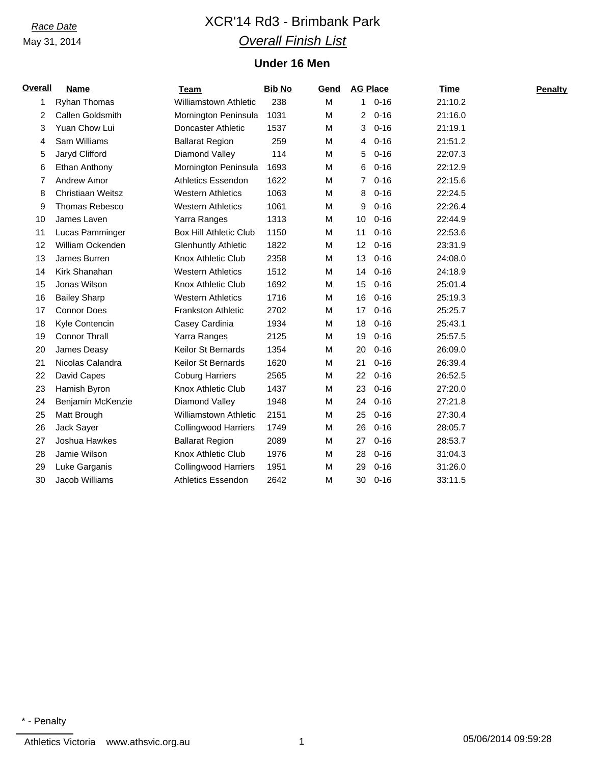# *Race Date* XCR'14 Rd3 - Brimbank Park *Overall Finish List*

### **Under 16 Men**

| <b>Overall</b> | <b>Name</b>              | <b>Team</b>                   | <b>Bib No</b> | Gend |              | <b>AG Place</b> | <b>Time</b> | Penalty |
|----------------|--------------------------|-------------------------------|---------------|------|--------------|-----------------|-------------|---------|
| 1              | Ryhan Thomas             | <b>Williamstown Athletic</b>  | 238           | M    | $\mathbf{1}$ | $0 - 16$        | 21:10.2     |         |
| 2              | Callen Goldsmith         | Mornington Peninsula          | 1031          | M    | 2            | $0 - 16$        | 21:16.0     |         |
| 3              | Yuan Chow Lui            | Doncaster Athletic            | 1537          | M    | 3            | $0 - 16$        | 21:19.1     |         |
| 4              | Sam Williams             | <b>Ballarat Region</b>        | 259           | M    | 4            | $0 - 16$        | 21:51.2     |         |
| 5              | Jaryd Clifford           | Diamond Valley                | 114           | M    | 5            | $0 - 16$        | 22:07.3     |         |
| 6              | Ethan Anthony            | Mornington Peninsula          | 1693          | M    | 6            | $0 - 16$        | 22:12.9     |         |
| 7              | Andrew Amor              | <b>Athletics Essendon</b>     | 1622          | M    | 7            | $0 - 16$        | 22:15.6     |         |
| 8              | <b>Christiaan Weitsz</b> | <b>Western Athletics</b>      | 1063          | M    | 8            | $0 - 16$        | 22:24.5     |         |
| 9              | Thomas Rebesco           | <b>Western Athletics</b>      | 1061          | M    | 9            | $0 - 16$        | 22:26.4     |         |
| 10             | James Laven              | Yarra Ranges                  | 1313          | M    | 10           | $0 - 16$        | 22:44.9     |         |
| 11             | Lucas Pamminger          | <b>Box Hill Athletic Club</b> | 1150          | M    | 11           | $0 - 16$        | 22:53.6     |         |
| 12             | William Ockenden         | <b>Glenhuntly Athletic</b>    | 1822          | M    | 12           | $0 - 16$        | 23:31.9     |         |
| 13             | James Burren             | Knox Athletic Club            | 2358          | M    | 13           | $0 - 16$        | 24:08.0     |         |
| 14             | Kirk Shanahan            | <b>Western Athletics</b>      | 1512          | M    | 14           | $0 - 16$        | 24:18.9     |         |
| 15             | Jonas Wilson             | Knox Athletic Club            | 1692          | M    | 15           | $0 - 16$        | 25:01.4     |         |
| 16             | <b>Bailey Sharp</b>      | <b>Western Athletics</b>      | 1716          | M    | 16           | $0 - 16$        | 25:19.3     |         |
| 17             | <b>Connor Does</b>       | <b>Frankston Athletic</b>     | 2702          | M    | 17           | $0 - 16$        | 25:25.7     |         |
| 18             | Kyle Contencin           | Casey Cardinia                | 1934          | M    | 18           | $0 - 16$        | 25:43.1     |         |
| 19             | <b>Connor Thrall</b>     | Yarra Ranges                  | 2125          | M    | 19           | $0 - 16$        | 25:57.5     |         |
| 20             | James Deasy              | <b>Keilor St Bernards</b>     | 1354          | M    | 20           | $0 - 16$        | 26:09.0     |         |
| 21             | Nicolas Calandra         | <b>Keilor St Bernards</b>     | 1620          | M    | 21           | $0 - 16$        | 26:39.4     |         |
| 22             | David Capes              | <b>Coburg Harriers</b>        | 2565          | M    | 22           | $0 - 16$        | 26:52.5     |         |
| 23             | Hamish Byron             | Knox Athletic Club            | 1437          | M    | 23           | $0 - 16$        | 27:20.0     |         |
| 24             | Benjamin McKenzie        | Diamond Valley                | 1948          | M    | 24           | $0 - 16$        | 27:21.8     |         |
| 25             | Matt Brough              | <b>Williamstown Athletic</b>  | 2151          | M    | 25           | $0 - 16$        | 27:30.4     |         |
| 26             | Jack Sayer               | <b>Collingwood Harriers</b>   | 1749          | M    | 26           | $0 - 16$        | 28:05.7     |         |
| 27             | Joshua Hawkes            | <b>Ballarat Region</b>        | 2089          | M    | 27           | $0 - 16$        | 28:53.7     |         |
| 28             | Jamie Wilson             | Knox Athletic Club            | 1976          | M    | 28           | $0 - 16$        | 31:04.3     |         |
| 29             | Luke Garganis            | <b>Collingwood Harriers</b>   | 1951          | м    | 29           | $0 - 16$        | 31:26.0     |         |
| 30             | Jacob Williams           | <b>Athletics Essendon</b>     | 2642          | M    | 30           | $0 - 16$        | 33:11.5     |         |
|                |                          |                               |               |      |              |                 |             |         |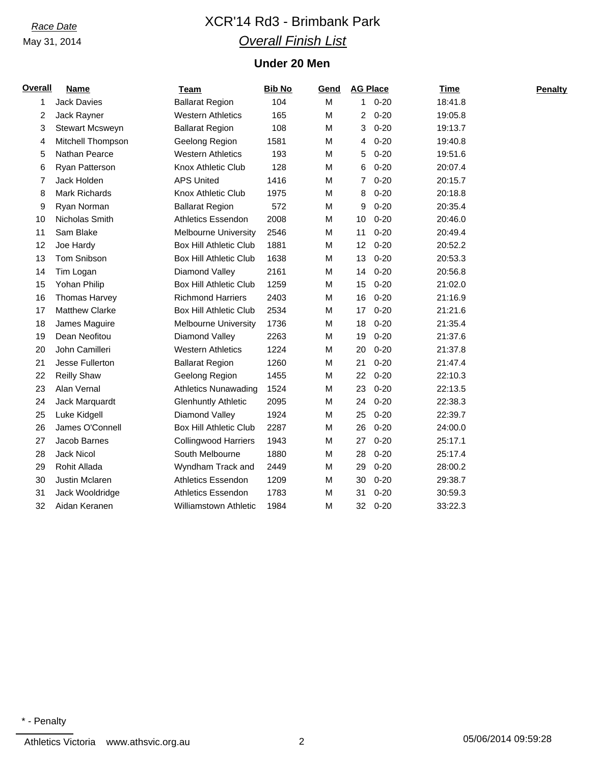# *Race Date* XCR'14 Rd3 - Brimbank Park *Overall Finish List*

### **Under 20 Men**

| <b>Overall</b> | <b>Name</b>           | <u>Team</u>                   | <b>Bib No</b> | Gend | <b>AG Place</b> |          | <b>Time</b> | Penalty |
|----------------|-----------------------|-------------------------------|---------------|------|-----------------|----------|-------------|---------|
| 1              | <b>Jack Davies</b>    | <b>Ballarat Region</b>        | 104           | M    | $\mathbf{1}$    | $0 - 20$ | 18:41.8     |         |
| 2              | Jack Rayner           | <b>Western Athletics</b>      | 165           | M    | 2               | $0 - 20$ | 19:05.8     |         |
| 3              | Stewart Mcsweyn       | <b>Ballarat Region</b>        | 108           | M    | 3               | $0 - 20$ | 19:13.7     |         |
| 4              | Mitchell Thompson     | Geelong Region                | 1581          | M    | 4               | $0 - 20$ | 19:40.8     |         |
| 5              | Nathan Pearce         | <b>Western Athletics</b>      | 193           | M    | 5               | $0 - 20$ | 19:51.6     |         |
| 6              | Ryan Patterson        | <b>Knox Athletic Club</b>     | 128           | M    | 6               | $0 - 20$ | 20:07.4     |         |
| 7              | Jack Holden           | <b>APS United</b>             | 1416          | M    | 7               | $0 - 20$ | 20:15.7     |         |
| 8              | <b>Mark Richards</b>  | Knox Athletic Club            | 1975          | M    | 8               | $0 - 20$ | 20:18.8     |         |
| 9              | Ryan Norman           | <b>Ballarat Region</b>        | 572           | M    | 9               | $0 - 20$ | 20:35.4     |         |
| 10             | Nicholas Smith        | <b>Athletics Essendon</b>     | 2008          | M    | 10              | $0 - 20$ | 20:46.0     |         |
| 11             | Sam Blake             | <b>Melbourne University</b>   | 2546          | M    | 11              | $0 - 20$ | 20:49.4     |         |
| 12             | Joe Hardy             | <b>Box Hill Athletic Club</b> | 1881          | M    | 12              | $0 - 20$ | 20:52.2     |         |
| 13             | Tom Snibson           | <b>Box Hill Athletic Club</b> | 1638          | M    | 13              | $0 - 20$ | 20:53.3     |         |
| 14             | Tim Logan             | Diamond Valley                | 2161          | M    | 14              | $0 - 20$ | 20:56.8     |         |
| 15             | Yohan Philip          | <b>Box Hill Athletic Club</b> | 1259          | M    | 15              | $0 - 20$ | 21:02.0     |         |
| 16             | Thomas Harvey         | <b>Richmond Harriers</b>      | 2403          | M    | 16              | $0 - 20$ | 21:16.9     |         |
| 17             | <b>Matthew Clarke</b> | <b>Box Hill Athletic Club</b> | 2534          | M    | 17              | $0 - 20$ | 21:21.6     |         |
| 18             | James Maguire         | <b>Melbourne University</b>   | 1736          | M    | 18              | $0 - 20$ | 21:35.4     |         |
| 19             | Dean Neofitou         | Diamond Valley                | 2263          | M    | 19              | $0 - 20$ | 21:37.6     |         |
| 20             | John Camilleri        | <b>Western Athletics</b>      | 1224          | M    | 20              | $0 - 20$ | 21:37.8     |         |
| 21             | Jesse Fullerton       | <b>Ballarat Region</b>        | 1260          | M    | 21              | $0 - 20$ | 21:47.4     |         |
| 22             | <b>Reilly Shaw</b>    | Geelong Region                | 1455          | M    | 22              | $0 - 20$ | 22:10.3     |         |
| 23             | Alan Vernal           | <b>Athletics Nunawading</b>   | 1524          | M    | 23              | $0 - 20$ | 22:13.5     |         |
| 24             | Jack Marquardt        | <b>Glenhuntly Athletic</b>    | 2095          | M    | 24              | $0 - 20$ | 22:38.3     |         |
| 25             | Luke Kidgell          | Diamond Valley                | 1924          | M    | 25              | $0 - 20$ | 22:39.7     |         |
| 26             | James O'Connell       | <b>Box Hill Athletic Club</b> | 2287          | M    | 26              | $0 - 20$ | 24:00.0     |         |
| 27             | Jacob Barnes          | <b>Collingwood Harriers</b>   | 1943          | M    | 27              | $0 - 20$ | 25:17.1     |         |
| 28             | <b>Jack Nicol</b>     | South Melbourne               | 1880          | M    | 28              | $0 - 20$ | 25:17.4     |         |
| 29             | Rohit Allada          | Wyndham Track and             | 2449          | M    | 29              | $0 - 20$ | 28:00.2     |         |
| 30             | Justin Mclaren        | Athletics Essendon            | 1209          | M    | 30              | $0 - 20$ | 29:38.7     |         |
| 31             | Jack Wooldridge       | <b>Athletics Essendon</b>     | 1783          | M    | 31              | $0 - 20$ | 30:59.3     |         |
| 32             | Aidan Keranen         | <b>Williamstown Athletic</b>  | 1984          | M    | 32              | $0 - 20$ | 33:22.3     |         |
|                |                       |                               |               |      |                 |          |             |         |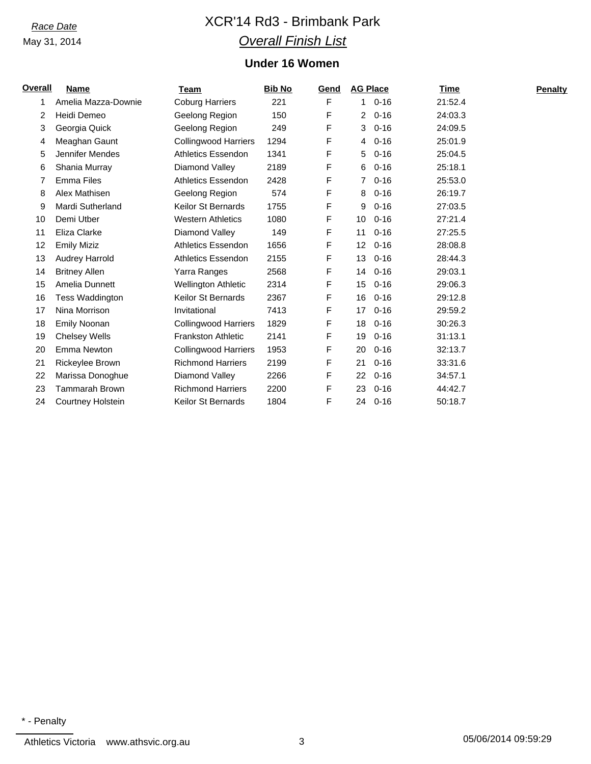# *Race Date* XCR'14 Rd3 - Brimbank Park *Overall Finish List*

## **Under 16 Women**

| <u>Overall</u> | <b>Name</b>            | <b>Team</b>                 | <b>Bib No</b> | Gend | <b>AG Place</b> |          | Time    | <b>Penalty</b> |
|----------------|------------------------|-----------------------------|---------------|------|-----------------|----------|---------|----------------|
| 1              | Amelia Mazza-Downie    | <b>Coburg Harriers</b>      | 221           | F    | 1.              | $0 - 16$ | 21:52.4 |                |
| 2              | Heidi Demeo            | Geelong Region              | 150           | F    | $\overline{2}$  | $0 - 16$ | 24:03.3 |                |
| 3              | Georgia Quick          | Geelong Region              | 249           | F    | 3               | $0 - 16$ | 24:09.5 |                |
| 4              | Meaghan Gaunt          | <b>Collingwood Harriers</b> | 1294          | F    | 4               | $0 - 16$ | 25:01.9 |                |
| 5              | Jennifer Mendes        | <b>Athletics Essendon</b>   | 1341          | F    | 5               | $0 - 16$ | 25:04.5 |                |
| 6              | Shania Murray          | Diamond Valley              | 2189          | F    | 6               | $0 - 16$ | 25:18.1 |                |
| 7              | <b>Emma Files</b>      | <b>Athletics Essendon</b>   | 2428          | F    | 7               | $0 - 16$ | 25:53.0 |                |
| 8              | Alex Mathisen          | Geelong Region              | 574           | F    | 8               | $0 - 16$ | 26:19.7 |                |
| 9              | Mardi Sutherland       | <b>Keilor St Bernards</b>   | 1755          | F    | 9               | $0 - 16$ | 27:03.5 |                |
| 10             | Demi Utber             | <b>Western Athletics</b>    | 1080          | F    | 10              | $0 - 16$ | 27:21.4 |                |
| 11             | Eliza Clarke           | Diamond Valley              | 149           | F    | 11              | $0 - 16$ | 27:25.5 |                |
| 12             | <b>Emily Miziz</b>     | <b>Athletics Essendon</b>   | 1656          | F    | 12              | $0 - 16$ | 28:08.8 |                |
| 13             | <b>Audrey Harrold</b>  | <b>Athletics Essendon</b>   | 2155          | F    | 13              | $0 - 16$ | 28:44.3 |                |
| 14             | <b>Britney Allen</b>   | Yarra Ranges                | 2568          | F    | 14              | $0 - 16$ | 29:03.1 |                |
| 15             | Amelia Dunnett         | <b>Wellington Athletic</b>  | 2314          | F    | 15              | $0 - 16$ | 29:06.3 |                |
| 16             | Tess Waddington        | <b>Keilor St Bernards</b>   | 2367          | F    | 16              | $0 - 16$ | 29:12.8 |                |
| 17             | Nina Morrison          | Invitational                | 7413          | F    | 17              | $0 - 16$ | 29:59.2 |                |
| 18             | <b>Emily Noonan</b>    | <b>Collingwood Harriers</b> | 1829          | F    | 18              | $0 - 16$ | 30:26.3 |                |
| 19             | <b>Chelsey Wells</b>   | <b>Frankston Athletic</b>   | 2141          | F    | 19              | $0 - 16$ | 31:13.1 |                |
| 20             | Emma Newton            | <b>Collingwood Harriers</b> | 1953          | F    | 20              | $0 - 16$ | 32:13.7 |                |
| 21             | <b>Rickeylee Brown</b> | <b>Richmond Harriers</b>    | 2199          | F    | 21              | $0 - 16$ | 33:31.6 |                |
| 22             | Marissa Donoghue       | Diamond Valley              | 2266          | F    | 22              | $0 - 16$ | 34:57.1 |                |
| 23             | <b>Tammarah Brown</b>  | <b>Richmond Harriers</b>    | 2200          | F    | 23              | $0 - 16$ | 44:42.7 |                |
| 24             | Courtney Holstein      | Keilor St Bernards          | 1804          | F    | 24              | $0 - 16$ | 50:18.7 |                |
|                |                        |                             |               |      |                 |          |         |                |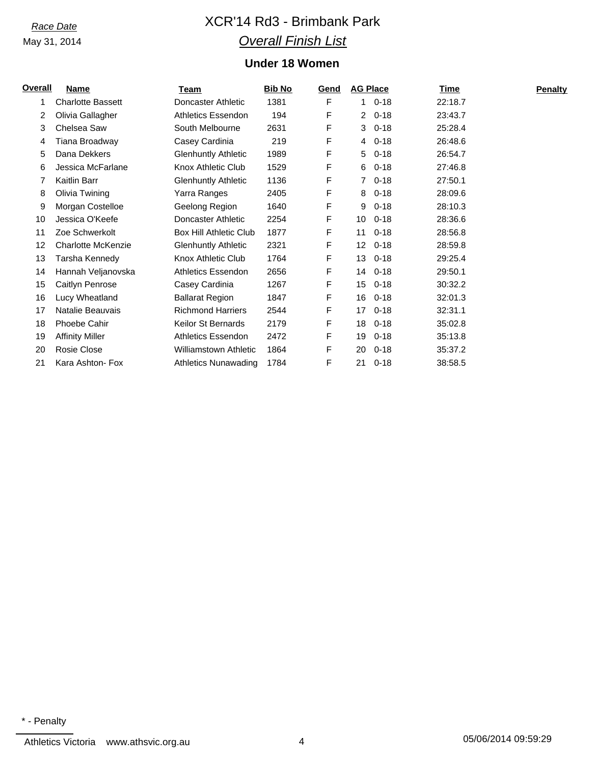# *Race Date* XCR'14 Rd3 - Brimbank Park *Overall Finish List*

## **Under 18 Women**

| <b>Overall</b> | <b>Name</b>               | Team                          | <b>Bib No</b> | Gend | <b>AG Place</b> |          | Time    | <b>Penalty</b> |
|----------------|---------------------------|-------------------------------|---------------|------|-----------------|----------|---------|----------------|
| 1              | <b>Charlotte Bassett</b>  | Doncaster Athletic            | 1381          | F    | $\mathbf{1}$    | $0 - 18$ | 22:18.7 |                |
| 2              | Olivia Gallagher          | <b>Athletics Essendon</b>     | 194           | F    | 2               | $0 - 18$ | 23:43.7 |                |
| 3              | Chelsea Saw               | South Melbourne               | 2631          | F    | 3               | $0 - 18$ | 25:28.4 |                |
| 4              | Tiana Broadway            | Casey Cardinia                | 219           | F    | 4               | $0 - 18$ | 26:48.6 |                |
| 5              | Dana Dekkers              | <b>Glenhuntly Athletic</b>    | 1989          | F    | 5               | $0 - 18$ | 26:54.7 |                |
| 6              | Jessica McFarlane         | Knox Athletic Club            | 1529          | F    | 6               | $0 - 18$ | 27:46.8 |                |
|                | Kaitlin Barr              | <b>Glenhuntly Athletic</b>    | 1136          | F    | 7               | $0 - 18$ | 27:50.1 |                |
| 8              | Olivia Twining            | Yarra Ranges                  | 2405          | F    | 8               | $0 - 18$ | 28:09.6 |                |
| 9              | Morgan Costelloe          | Geelong Region                | 1640          | F    | 9               | $0 - 18$ | 28:10.3 |                |
| 10             | Jessica O'Keefe           | Doncaster Athletic            | 2254          | F    | 10              | $0 - 18$ | 28:36.6 |                |
| 11             | Zoe Schwerkolt            | <b>Box Hill Athletic Club</b> | 1877          | F    | 11              | $0 - 18$ | 28:56.8 |                |
| 12             | <b>Charlotte McKenzie</b> | <b>Glenhuntly Athletic</b>    | 2321          | F    | 12              | $0 - 18$ | 28:59.8 |                |
| 13             | Tarsha Kennedy            | Knox Athletic Club            | 1764          | F    | 13              | $0 - 18$ | 29:25.4 |                |
| 14             | Hannah Veljanovska        | <b>Athletics Essendon</b>     | 2656          | F    | 14              | $0 - 18$ | 29:50.1 |                |
| 15             | Caitlyn Penrose           | Casey Cardinia                | 1267          | F    | 15              | $0 - 18$ | 30:32.2 |                |
| 16             | Lucy Wheatland            | <b>Ballarat Region</b>        | 1847          | F    | 16              | $0 - 18$ | 32:01.3 |                |
| 17             | Natalie Beauvais          | <b>Richmond Harriers</b>      | 2544          | F    | 17              | $0 - 18$ | 32:31.1 |                |
| 18             | <b>Phoebe Cahir</b>       | Keilor St Bernards            | 2179          | F    | 18              | $0 - 18$ | 35:02.8 |                |
| 19             | <b>Affinity Miller</b>    | <b>Athletics Essendon</b>     | 2472          | F    | 19              | $0 - 18$ | 35:13.8 |                |
| 20             | Rosie Close               | Williamstown Athletic         | 1864          | F    | 20              | $0 - 18$ | 35:37.2 |                |
| 21             | Kara Ashton- Fox          | <b>Athletics Nunawading</b>   | 1784          | F    | 21              | $0 - 18$ | 38:58.5 |                |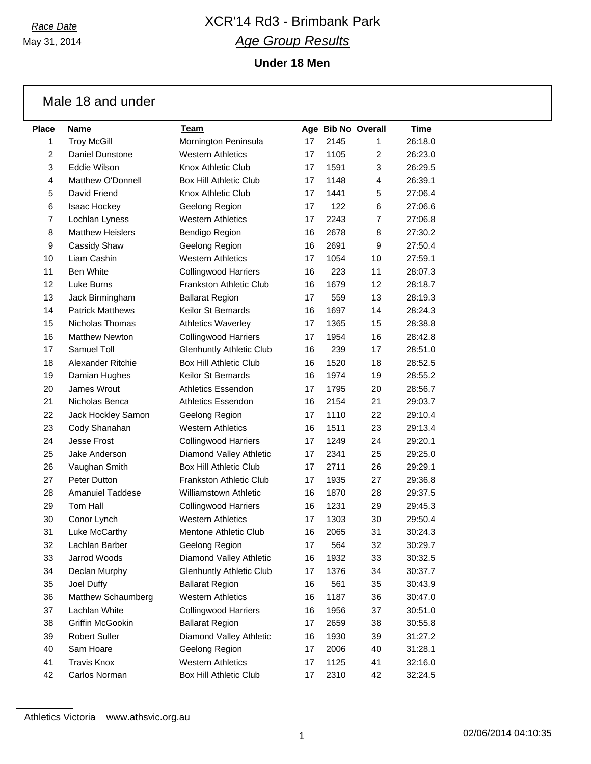May 31, 2014

# *Race Date* XCR'14 Rd3 - Brimbank Park *Age Group Results*

**Under 18 Men**

|                | Male 18 and under       |                                 |    |      |                    |             |
|----------------|-------------------------|---------------------------------|----|------|--------------------|-------------|
| Place          | <b>Name</b>             | Team                            |    |      | Age Bib No Overall | <b>Time</b> |
| 1              | <b>Troy McGill</b>      | Mornington Peninsula            | 17 | 2145 | 1.                 | 26:18.0     |
| $\overline{2}$ | Daniel Dunstone         | <b>Western Athletics</b>        | 17 | 1105 | $\overline{2}$     | 26:23.0     |
| 3              | Eddie Wilson            | Knox Athletic Club              | 17 | 1591 | 3                  | 26:29.5     |
| 4              | Matthew O'Donnell       | Box Hill Athletic Club          | 17 | 1148 | 4                  | 26:39.1     |
| 5              | David Friend            | Knox Athletic Club              | 17 | 1441 | 5                  | 27:06.4     |
| 6              | <b>Isaac Hockey</b>     | Geelong Region                  | 17 | 122  | 6                  | 27:06.6     |
| $\overline{7}$ | Lochlan Lyness          | <b>Western Athletics</b>        | 17 | 2243 | 7                  | 27:06.8     |
| 8              | <b>Matthew Heislers</b> | Bendigo Region                  | 16 | 2678 | 8                  | 27:30.2     |
| 9              | Cassidy Shaw            | Geelong Region                  | 16 | 2691 | 9                  | 27:50.4     |
| 10             | Liam Cashin             | <b>Western Athletics</b>        | 17 | 1054 | 10                 | 27:59.1     |
| 11             | <b>Ben White</b>        | <b>Collingwood Harriers</b>     | 16 | 223  | 11                 | 28:07.3     |
| 12             | Luke Burns              | Frankston Athletic Club         | 16 | 1679 | 12                 | 28:18.7     |
| 13             | Jack Birmingham         | <b>Ballarat Region</b>          | 17 | 559  | 13                 | 28:19.3     |
| 14             | <b>Patrick Matthews</b> | <b>Keilor St Bernards</b>       | 16 | 1697 | 14                 | 28:24.3     |
| 15             | Nicholas Thomas         | <b>Athletics Waverley</b>       | 17 | 1365 | 15                 | 28:38.8     |
| 16             | <b>Matthew Newton</b>   | <b>Collingwood Harriers</b>     | 17 | 1954 | 16                 | 28:42.8     |
| 17             | Samuel Toll             | <b>Glenhuntly Athletic Club</b> | 16 | 239  | 17                 | 28:51.0     |
| 18             | Alexander Ritchie       | <b>Box Hill Athletic Club</b>   | 16 | 1520 | 18                 | 28:52.5     |
| 19             | Damian Hughes           | <b>Keilor St Bernards</b>       | 16 | 1974 | 19                 | 28:55.2     |
| 20             | James Wrout             | <b>Athletics Essendon</b>       | 17 | 1795 | 20                 | 28:56.7     |
| 21             | Nicholas Benca          | <b>Athletics Essendon</b>       | 16 | 2154 | 21                 | 29:03.7     |
| 22             | Jack Hockley Samon      | Geelong Region                  | 17 | 1110 | 22                 | 29:10.4     |
| 23             | Cody Shanahan           | <b>Western Athletics</b>        | 16 | 1511 | 23                 | 29:13.4     |
| 24             | <b>Jesse Frost</b>      | <b>Collingwood Harriers</b>     | 17 | 1249 | 24                 | 29:20.1     |
| 25             | Jake Anderson           | Diamond Valley Athletic         | 17 | 2341 | 25                 | 29:25.0     |
| 26             | Vaughan Smith           | <b>Box Hill Athletic Club</b>   | 17 | 2711 | 26                 | 29:29.1     |
| 27             | Peter Dutton            | <b>Frankston Athletic Club</b>  | 17 | 1935 | 27                 | 29:36.8     |
| 28             | <b>Amanuiel Taddese</b> | <b>Williamstown Athletic</b>    | 16 | 1870 | 28                 | 29:37.5     |
| 29             | Tom Hall                | <b>Collingwood Harriers</b>     | 16 | 1231 | 29                 | 29:45.3     |
| 30             | Conor Lynch             | <b>Western Athletics</b>        | 17 | 1303 | 30                 | 29:50.4     |
| 31             | Luke McCarthy           | Mentone Athletic Club           | 16 | 2065 | 31                 | 30:24.3     |
| 32             | Lachlan Barber          | Geelong Region                  | 17 | 564  | 32                 | 30:29.7     |
| 33             | Jarrod Woods            | Diamond Valley Athletic         | 16 | 1932 | 33                 | 30:32.5     |
| 34             | Declan Murphy           | <b>Glenhuntly Athletic Club</b> | 17 | 1376 | 34                 | 30:37.7     |
| 35             | Joel Duffy              | <b>Ballarat Region</b>          | 16 | 561  | 35                 | 30:43.9     |
| 36             | Matthew Schaumberg      | <b>Western Athletics</b>        | 16 | 1187 | 36                 | 30:47.0     |
| 37             | Lachlan White           | <b>Collingwood Harriers</b>     | 16 | 1956 | 37                 | 30:51.0     |
| 38             | Griffin McGookin        | <b>Ballarat Region</b>          | 17 | 2659 | 38                 | 30:55.8     |
| 39             | <b>Robert Suller</b>    | Diamond Valley Athletic         | 16 | 1930 | 39                 | 31:27.2     |
| 40             | Sam Hoare               | Geelong Region                  | 17 | 2006 | 40                 | 31:28.1     |
| 41             | <b>Travis Knox</b>      | <b>Western Athletics</b>        | 17 | 1125 | 41                 | 32:16.0     |
| 42             | Carlos Norman           | Box Hill Athletic Club          | 17 | 2310 | 42                 | 32:24.5     |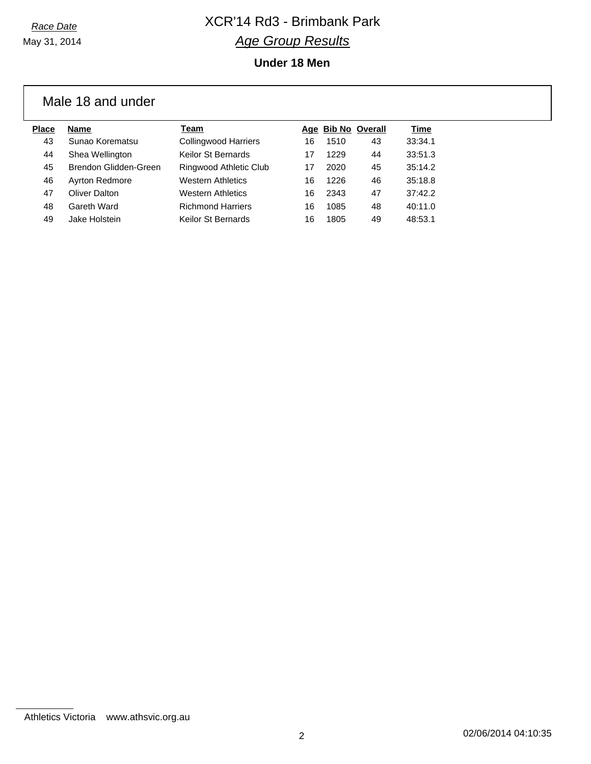May 31, 2014

# *Race Date* XCR'14 Rd3 - Brimbank Park *Age Group Results*

### **Under 18 Men**

## Male 18 and under

| Place | <b>Name</b>           | Team                        |    | Age Bib No Overall |    | Time    |
|-------|-----------------------|-----------------------------|----|--------------------|----|---------|
| 43    | Sunao Korematsu       | <b>Collingwood Harriers</b> | 16 | 1510               | 43 | 33:34.1 |
| 44    | Shea Wellington       | Keilor St Bernards          |    | 1229               | 44 | 33:51.3 |
| 45    | Brendon Glidden-Green | Ringwood Athletic Club      | 17 | 2020               | 45 | 35:14.2 |
| 46    | <b>Ayrton Redmore</b> | <b>Western Athletics</b>    | 16 | 1226               | 46 | 35:18.8 |
| 47    | Oliver Dalton         | <b>Western Athletics</b>    | 16 | 2343               | 47 | 37:42.2 |
| 48    | Gareth Ward           | <b>Richmond Harriers</b>    | 16 | 1085               | 48 | 40:11.0 |
| 49    | Jake Holstein         | Keilor St Bernards          | 16 | 1805               | 49 | 48:53.1 |
|       |                       |                             |    |                    |    |         |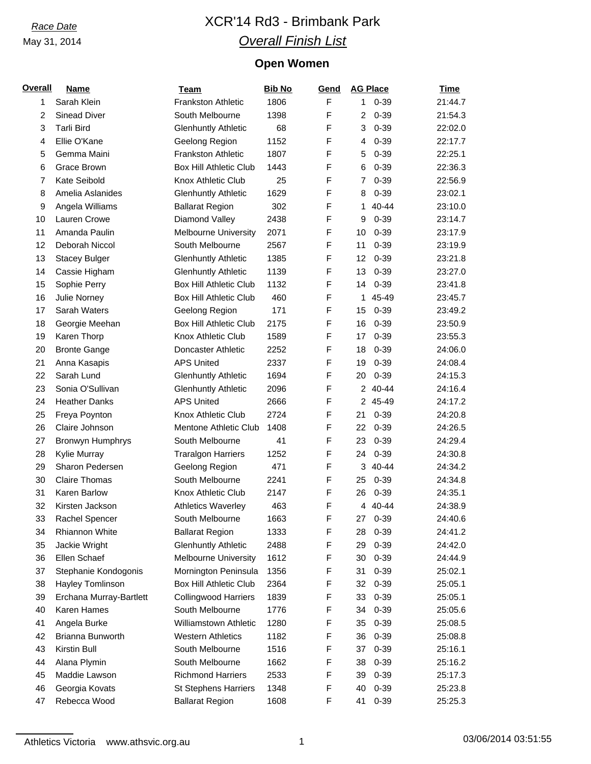# *Race Date* XCR'14 Rd3 - Brimbank Park *Overall Finish List*

## **Open Women**

| <b>Overall</b> | <b>Name</b>             | <b>Team</b>                   | <b>Bib No</b> | Gend        | <b>AG Place</b> | <b>Time</b> |
|----------------|-------------------------|-------------------------------|---------------|-------------|-----------------|-------------|
| 1              | Sarah Klein             | <b>Frankston Athletic</b>     | 1806          | F           | 1<br>$0 - 39$   | 21:44.7     |
| $\overline{c}$ | Sinead Diver            | South Melbourne               | 1398          | F           | 2<br>$0 - 39$   | 21:54.3     |
| 3              | <b>Tarli Bird</b>       | <b>Glenhuntly Athletic</b>    | 68            | F           | $0 - 39$<br>3   | 22:02.0     |
| 4              | Ellie O'Kane            | Geelong Region                | 1152          | F           | $0 - 39$<br>4   | 22:17.7     |
| 5              | Gemma Maini             | <b>Frankston Athletic</b>     | 1807          | F           | $0 - 39$<br>5   | 22:25.1     |
| 6              | Grace Brown             | <b>Box Hill Athletic Club</b> | 1443          | F           | $0 - 39$<br>6   | 22:36.3     |
| $\overline{7}$ | Kate Seibold            | Knox Athletic Club            | 25            | F           | $0 - 39$<br>7   | 22:56.9     |
| 8              | Amelia Aslanides        | <b>Glenhuntly Athletic</b>    | 1629          | F           | $0 - 39$<br>8   | 23:02.1     |
| 9              | Angela Williams         | <b>Ballarat Region</b>        | 302           | F           | 40-44<br>1      | 23:10.0     |
| 10             | Lauren Crowe            | Diamond Valley                | 2438          | F           | $0 - 39$<br>9   | 23:14.7     |
| 11             | Amanda Paulin           | <b>Melbourne University</b>   | 2071          | F           | $0 - 39$<br>10  | 23:17.9     |
| 12             | Deborah Niccol          | South Melbourne               | 2567          | F           | $0 - 39$<br>11  | 23:19.9     |
| 13             | <b>Stacey Bulger</b>    | <b>Glenhuntly Athletic</b>    | 1385          | F           | $0 - 39$<br>12  | 23:21.8     |
| 14             | Cassie Higham           | <b>Glenhuntly Athletic</b>    | 1139          | F           | $0 - 39$<br>13  | 23:27.0     |
| 15             | Sophie Perry            | <b>Box Hill Athletic Club</b> | 1132          | F           | $0 - 39$<br>14  | 23:41.8     |
| 16             | Julie Norney            | <b>Box Hill Athletic Club</b> | 460           | F           | 45-49<br>1      | 23:45.7     |
| 17             | Sarah Waters            | Geelong Region                | 171           | F           | $0 - 39$<br>15  | 23:49.2     |
| 18             | Georgie Meehan          | <b>Box Hill Athletic Club</b> | 2175          | F           | $0 - 39$<br>16  | 23:50.9     |
| 19             | Karen Thorp             | Knox Athletic Club            | 1589          | F           | $0 - 39$<br>17  | 23:55.3     |
| 20             | <b>Bronte Gange</b>     | Doncaster Athletic            | 2252          | F           | $0 - 39$<br>18  | 24:06.0     |
| 21             | Anna Kasapis            | <b>APS United</b>             | 2337          | F           | $0 - 39$<br>19  | 24:08.4     |
| 22             | Sarah Lund              | <b>Glenhuntly Athletic</b>    | 1694          | F           | $0 - 39$<br>20  | 24:15.3     |
| 23             | Sonia O'Sullivan        | <b>Glenhuntly Athletic</b>    | 2096          | F           | 40-44<br>2      | 24:16.4     |
| 24             | <b>Heather Danks</b>    | <b>APS United</b>             | 2666          | F           | 2 45-49         | 24:17.2     |
| 25             | Freya Poynton           | Knox Athletic Club            | 2724          | F           | $0 - 39$<br>21  | 24:20.8     |
| 26             | Claire Johnson          | Mentone Athletic Club         | 1408          | F           | $0 - 39$<br>22  | 24:26.5     |
| 27             | Bronwyn Humphrys        | South Melbourne               | 41            | F           | $0 - 39$<br>23  | 24:29.4     |
| 28             | Kylie Murray            | <b>Traralgon Harriers</b>     | 1252          | F           | $0 - 39$<br>24  | 24:30.8     |
| 29             | Sharon Pedersen         | Geelong Region                | 471           | F           | 40-44<br>3      | 24:34.2     |
| 30             | <b>Claire Thomas</b>    | South Melbourne               | 2241          | F           | $0 - 39$<br>25  | 24:34.8     |
| 31             | Karen Barlow            | Knox Athletic Club            | 2147          | $\mathsf F$ | $0 - 39$<br>26  | 24:35.1     |
| 32             | Kirsten Jackson         | <b>Athletics Waverley</b>     | 463           | F           | 4 40-44         | 24:38.9     |
| 33             | Rachel Spencer          | South Melbourne               | 1663          | $\mathsf F$ | $0 - 39$<br>27  | 24:40.6     |
| 34             | <b>Rhiannon White</b>   | <b>Ballarat Region</b>        | 1333          | F           | $0 - 39$<br>28  | 24:41.2     |
| 35             | Jackie Wright           | <b>Glenhuntly Athletic</b>    | 2488          | F           | $0 - 39$<br>29  | 24:42.0     |
| 36             | Ellen Schaef            | Melbourne University          | 1612          | F           | $0 - 39$<br>30  | 24:44.9     |
| 37             | Stephanie Kondogonis    | Mornington Peninsula          | 1356          | F           | $0 - 39$<br>31  | 25:02.1     |
| 38             | Hayley Tomlinson        | <b>Box Hill Athletic Club</b> | 2364          | F           | $0 - 39$<br>32  | 25:05.1     |
| 39             | Erchana Murray-Bartlett | <b>Collingwood Harriers</b>   | 1839          | F           | $0 - 39$<br>33  | 25:05.1     |
| 40             | Karen Hames             | South Melbourne               | 1776          | F           | $0 - 39$<br>34  | 25:05.6     |
| 41             | Angela Burke            | Williamstown Athletic         | 1280          | F           | $0 - 39$<br>35  | 25:08.5     |
| 42             | Brianna Bunworth        | <b>Western Athletics</b>      | 1182          | F           | 36<br>$0 - 39$  | 25:08.8     |
| 43             | Kirstin Bull            | South Melbourne               | 1516          | F           | $0 - 39$<br>37  | 25:16.1     |
| 44             | Alana Plymin            | South Melbourne               | 1662          | F           | $0 - 39$<br>38  | 25:16.2     |
| 45             | Maddie Lawson           | <b>Richmond Harriers</b>      | 2533          | F           | $0 - 39$<br>39  | 25:17.3     |
| 46             | Georgia Kovats          | <b>St Stephens Harriers</b>   | 1348          | F           | $0 - 39$<br>40  | 25:23.8     |
| 47             | Rebecca Wood            | <b>Ballarat Region</b>        | 1608          | F           | $0 - 39$<br>41  | 25:25.3     |

Athletics Victoria www.athsvic.org.au 1 1 1 1 03/06/2014 03:51:55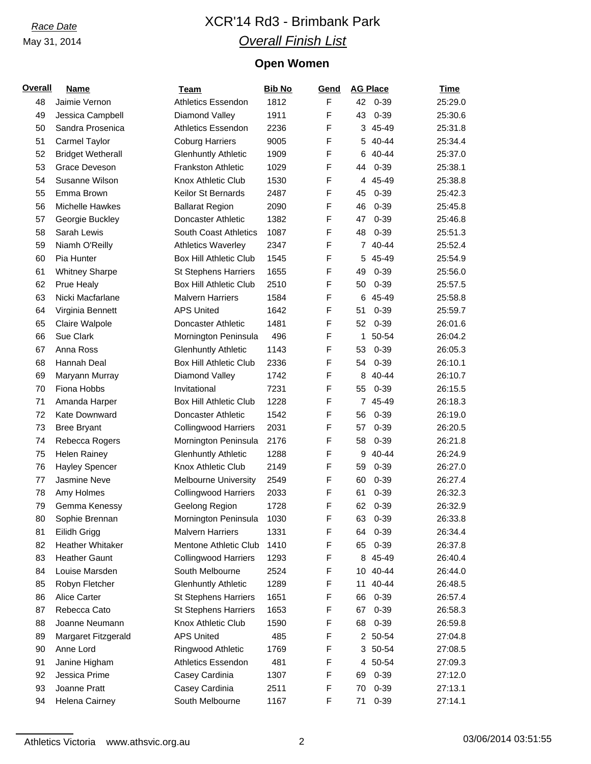# *Race Date* XCR'14 Rd3 - Brimbank Park *Overall Finish List*

## **Open Women**

| <b>Overall</b> | <b>Name</b>              | Team                          | <b>Bib No</b> | <u>Gend</u>  | <b>AG Place</b> | <b>Time</b> |
|----------------|--------------------------|-------------------------------|---------------|--------------|-----------------|-------------|
| 48             | Jaimie Vernon            | <b>Athletics Essendon</b>     | 1812          | F            | 42 0-39         | 25:29.0     |
| 49             | Jessica Campbell         | Diamond Valley                | 1911          | F            | 43<br>$0 - 39$  | 25:30.6     |
| 50             | Sandra Prosenica         | <b>Athletics Essendon</b>     | 2236          | F            | 3 45-49         | 25:31.8     |
| 51             | Carmel Taylor            | <b>Coburg Harriers</b>        | 9005          | $\mathsf F$  | 40-44<br>5      | 25:34.4     |
| 52             | <b>Bridget Wetherall</b> | <b>Glenhuntly Athletic</b>    | 1909          | $\mathsf F$  | 40-44<br>6      | 25:37.0     |
| 53             | Grace Deveson            | <b>Frankston Athletic</b>     | 1029          | $\mathsf F$  | $0 - 39$<br>44  | 25:38.1     |
| 54             | Susanne Wilson           | Knox Athletic Club            | 1530          | F            | 45-49<br>4      | 25:38.8     |
| 55             | Emma Brown               | Keilor St Bernards            | 2487          | $\mathsf F$  | $0 - 39$<br>45  | 25:42.3     |
| 56             | Michelle Hawkes          | <b>Ballarat Region</b>        | 2090          | F            | $0 - 39$<br>46  | 25:45.8     |
| 57             | Georgie Buckley          | Doncaster Athletic            | 1382          | $\mathsf F$  | $0 - 39$<br>47  | 25:46.8     |
| 58             | Sarah Lewis              | <b>South Coast Athletics</b>  | 1087          | F            | $0 - 39$<br>48  | 25:51.3     |
| 59             | Niamh O'Reilly           | <b>Athletics Waverley</b>     | 2347          | $\mathsf{F}$ | 7 40-44         | 25:52.4     |
| 60             | Pia Hunter               | <b>Box Hill Athletic Club</b> | 1545          | $\mathsf F$  | 45-49<br>5      | 25:54.9     |
| 61             | <b>Whitney Sharpe</b>    | <b>St Stephens Harriers</b>   | 1655          | $\mathsf F$  | $0 - 39$<br>49  | 25:56.0     |
| 62             | Prue Healy               | <b>Box Hill Athletic Club</b> | 2510          | F            | $0 - 39$<br>50  | 25:57.5     |
| 63             | Nicki Macfarlane         | <b>Malvern Harriers</b>       | 1584          | $\mathsf F$  | 45-49<br>6      | 25:58.8     |
| 64             | Virginia Bennett         | <b>APS United</b>             | 1642          | $\mathsf F$  | $0 - 39$<br>51  | 25:59.7     |
| 65             | Claire Walpole           | Doncaster Athletic            | 1481          | $\mathsf F$  | $0 - 39$<br>52  | 26:01.6     |
| 66             | Sue Clark                | Mornington Peninsula          | 496           | F            | 50-54<br>1      | 26:04.2     |
| 67             | Anna Ross                | <b>Glenhuntly Athletic</b>    | 1143          | $\mathsf{F}$ | $0 - 39$<br>53  | 26:05.3     |
| 68             | Hannah Deal              | <b>Box Hill Athletic Club</b> | 2336          | $\mathsf{F}$ | $0 - 39$<br>54  | 26:10.1     |
| 69             | Maryann Murray           | Diamond Valley                | 1742          | $\mathsf F$  | 40-44<br>8      | 26:10.7     |
| 70             | Fiona Hobbs              | Invitational                  | 7231          | F            | $0 - 39$<br>55  | 26:15.5     |
| 71             | Amanda Harper            | <b>Box Hill Athletic Club</b> | 1228          | $\mathsf F$  | 7 45-49         | 26:18.3     |
| 72             | Kate Downward            | Doncaster Athletic            | 1542          | $\mathsf F$  | $0 - 39$<br>56  | 26:19.0     |
| 73             | <b>Bree Bryant</b>       | <b>Collingwood Harriers</b>   | 2031          | $\mathsf F$  | $0 - 39$<br>57  | 26:20.5     |
| 74             | Rebecca Rogers           | Mornington Peninsula          | 2176          | F            | $0 - 39$<br>58  | 26:21.8     |
|                | <b>Helen Rainey</b>      | <b>Glenhuntly Athletic</b>    | 1288          | $\mathsf{F}$ | 40-44           | 26:24.9     |
| 75             |                          |                               |               | $\mathsf{F}$ | 9               |             |
| 76             | <b>Hayley Spencer</b>    | Knox Athletic Club            | 2149          | $\mathsf{F}$ | $0 - 39$<br>59  | 26:27.0     |
| 77             | Jasmine Neve             | Melbourne University          | 2549          |              | $0 - 39$<br>60  | 26:27.4     |
| 78             | Amy Holmes               | <b>Collingwood Harriers</b>   | 2033          | $\mathsf F$  | 61<br>$0 - 39$  | 26:32.3     |
| 79             | Gemma Kenessy            | Geelong Region                | 1728          | F            | 62 0-39         | 26:32.9     |
| 80             | Sophie Brennan           | Mornington Peninsula          | 1030          | $\mathsf F$  | 63<br>$0 - 39$  | 26:33.8     |
| 81             | Eilidh Grigg             | <b>Malvern Harriers</b>       | 1331          | F            | $0 - 39$<br>64  | 26:34.4     |
| 82             | <b>Heather Whitaker</b>  | Mentone Athletic Club         | 1410          | F            | $0 - 39$<br>65  | 26:37.8     |
| 83             | <b>Heather Gaunt</b>     | <b>Collingwood Harriers</b>   | 1293          | $\mathsf F$  | 8 45-49         | 26:40.4     |
| 84             | Louise Marsden           | South Melbourne               | 2524          | F            | 40-44<br>10     | 26:44.0     |
| 85             | Robyn Fletcher           | <b>Glenhuntly Athletic</b>    | 1289          | F            | 40-44<br>11     | 26:48.5     |
| 86             | <b>Alice Carter</b>      | <b>St Stephens Harriers</b>   | 1651          | F            | $0 - 39$<br>66  | 26:57.4     |
| 87             | Rebecca Cato             | <b>St Stephens Harriers</b>   | 1653          | $\mathsf F$  | $0 - 39$<br>67  | 26:58.3     |
| 88             | Joanne Neumann           | Knox Athletic Club            | 1590          | $\mathsf F$  | $0 - 39$<br>68  | 26:59.8     |
| 89             | Margaret Fitzgerald      | <b>APS United</b>             | 485           | $\mathsf F$  | 2 50-54         | 27:04.8     |
| 90             | Anne Lord                | Ringwood Athletic             | 1769          | F            | 50-54<br>3      | 27:08.5     |
| 91             | Janine Higham            | <b>Athletics Essendon</b>     | 481           | $\mathsf F$  | 50-54<br>4      | 27:09.3     |
| 92             | Jessica Prime            | Casey Cardinia                | 1307          | $\mathsf F$  | $0 - 39$<br>69  | 27:12.0     |
| 93             | Joanne Pratt             | Casey Cardinia                | 2511          | F            | $0 - 39$<br>70  | 27:13.1     |
| 94             | Helena Cairney           | South Melbourne               | 1167          | F            | $0 - 39$<br>71  | 27:14.1     |

Athletics Victoria www.athsvic.org.au 2 2 03/06/2014 03:51:55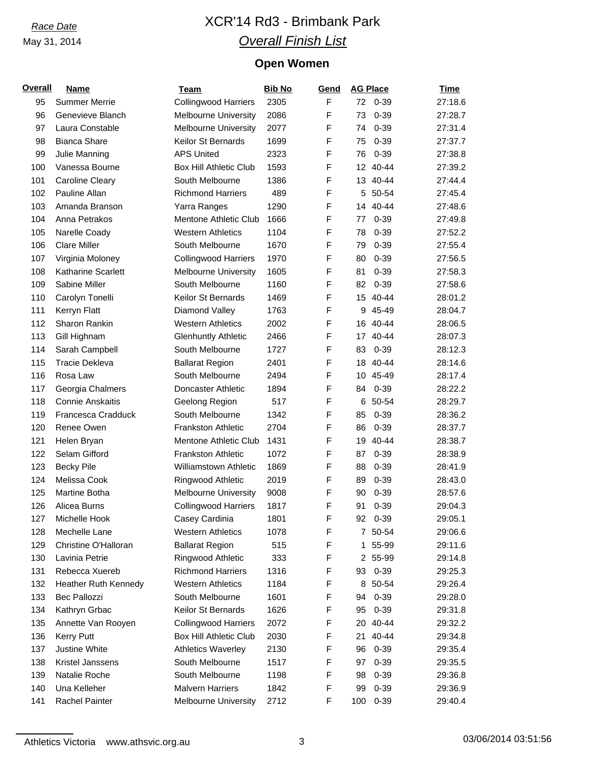# *Race Date* XCR'14 Rd3 - Brimbank Park *Overall Finish List*

## **Open Women**

| <b>Overall</b> | <b>Name</b>                 | <b>Team</b>                   | <b>Bib No</b> | Gend        | <b>AG Place</b> | <b>Time</b> |
|----------------|-----------------------------|-------------------------------|---------------|-------------|-----------------|-------------|
| 95             | <b>Summer Merrie</b>        | <b>Collingwood Harriers</b>   | 2305          | $\mathsf F$ | 72<br>0-39      | 27:18.6     |
| 96             | Genevieve Blanch            | <b>Melbourne University</b>   | 2086          | F           | 73<br>$0 - 39$  | 27:28.7     |
| 97             | Laura Constable             | <b>Melbourne University</b>   | 2077          | F           | $0 - 39$<br>74  | 27:31.4     |
| 98             | <b>Bianca Share</b>         | Keilor St Bernards            | 1699          | F           | $0 - 39$<br>75  | 27:37.7     |
| 99             | Julie Manning               | <b>APS United</b>             | 2323          | F           | $0 - 39$<br>76  | 27:38.8     |
| 100            | Vanessa Bourne              | <b>Box Hill Athletic Club</b> | 1593          | F           | $40 - 44$<br>12 | 27:39.2     |
| 101            | <b>Caroline Cleary</b>      | South Melbourne               | 1386          | F           | $40 - 44$<br>13 | 27:44.4     |
| 102            | Pauline Allan               | <b>Richmond Harriers</b>      | 489           | F           | 50-54<br>5      | 27:45.4     |
| 103            | Amanda Branson              | Yarra Ranges                  | 1290          | F           | $40 - 44$<br>14 | 27:48.6     |
| 104            | Anna Petrakos               | Mentone Athletic Club         | 1666          | F           | $0 - 39$<br>77  | 27:49.8     |
| 105            | Narelle Coady               | <b>Western Athletics</b>      | 1104          | F           | $0 - 39$<br>78  | 27:52.2     |
| 106            | <b>Clare Miller</b>         | South Melbourne               | 1670          | F           | $0 - 39$<br>79  | 27:55.4     |
| 107            | Virginia Moloney            | <b>Collingwood Harriers</b>   | 1970          | F           | $0 - 39$<br>80  | 27:56.5     |
| 108            | Katharine Scarlett          | <b>Melbourne University</b>   | 1605          | F           | $0 - 39$<br>81  | 27:58.3     |
| 109            | Sabine Miller               | South Melbourne               | 1160          | F           | $0 - 39$<br>82  | 27:58.6     |
| 110            | Carolyn Tonelli             | Keilor St Bernards            | 1469          | F           | 40-44<br>15     | 28:01.2     |
| 111            | Kerryn Flatt                | Diamond Valley                | 1763          | F           | 45-49<br>9      | 28:04.7     |
| 112            | Sharon Rankin               | <b>Western Athletics</b>      | 2002          | F           | $40 - 44$<br>16 | 28:06.5     |
| 113            | Gill Highnam                | <b>Glenhuntly Athletic</b>    | 2466          | F           | $40 - 44$<br>17 | 28:07.3     |
| 114            | Sarah Campbell              | South Melbourne               | 1727          | F           | $0 - 39$<br>83  | 28:12.3     |
| 115            | <b>Tracie Dekleva</b>       | <b>Ballarat Region</b>        | 2401          | F           | $40 - 44$<br>18 | 28:14.6     |
| 116            | Rosa Law                    | South Melbourne               | 2494          | F           | 45-49<br>10     | 28:17.4     |
| 117            | Georgia Chalmers            | Doncaster Athletic            | 1894          | F           | $0 - 39$<br>84  | 28:22.2     |
| 118            | <b>Connie Anskaitis</b>     | Geelong Region                | 517           | F           | 50-54<br>6      | 28:29.7     |
| 119            | Francesca Cradduck          | South Melbourne               | 1342          | F           | $0 - 39$<br>85  | 28:36.2     |
| 120            | Renee Owen                  | <b>Frankston Athletic</b>     | 2704          | F           | $0 - 39$<br>86  | 28:37.7     |
| 121            | Helen Bryan                 | Mentone Athletic Club         | 1431          | F           | $40 - 44$<br>19 | 28:38.7     |
| 122            | Selam Gifford               | <b>Frankston Athletic</b>     | 1072          | F           | $0 - 39$<br>87  | 28:38.9     |
| 123            | <b>Becky Pile</b>           | Williamstown Athletic         | 1869          | F           | $0 - 39$<br>88  | 28:41.9     |
| 124            | Melissa Cook                | Ringwood Athletic             | 2019          | F           | $0 - 39$<br>89  | 28:43.0     |
| 125            | <b>Martine Botha</b>        | <b>Melbourne University</b>   | 9008          | F           | $0 - 39$<br>90  | 28:57.6     |
| 126            | Alicea Burns                | <b>Collingwood Harriers</b>   | 1817          | F           | $0 - 39$<br>91  | 29:04.3     |
| 127            | Michelle Hook               | Casey Cardinia                | 1801          | F           | 92 0-39         | 29:05.1     |
| 128            | Mechelle Lane               | <b>Western Athletics</b>      | 1078          | F           | 7 50-54         | 29:06.6     |
| 129            | Christine O'Halloran        | <b>Ballarat Region</b>        | 515           | F           | 55-99<br>1      | 29:11.6     |
| 130            | Lavinia Petrie              | <b>Ringwood Athletic</b>      | 333           | F           | 2 55-99         | 29:14.8     |
| 131            | Rebecca Xuereb              | <b>Richmond Harriers</b>      | 1316          | F           | $0 - 39$<br>93  | 29:25.3     |
| 132            | <b>Heather Ruth Kennedy</b> | <b>Western Athletics</b>      | 1184          | F           | 50-54<br>8      | 29:26.4     |
| 133            | <b>Bec Pallozzi</b>         | South Melbourne               | 1601          | F           | $0 - 39$<br>94  | 29:28.0     |
| 134            | Kathryn Grbac               | Keilor St Bernards            | 1626          | F           | $0 - 39$<br>95  | 29:31.8     |
| 135            | Annette Van Rooyen          | <b>Collingwood Harriers</b>   | 2072          | F           | 40-44<br>20     | 29:32.2     |
| 136            | <b>Kerry Putt</b>           | <b>Box Hill Athletic Club</b> | 2030          | F           | 40-44<br>21     | 29:34.8     |
| 137            | Justine White               | <b>Athletics Waverley</b>     | 2130          | F           | $0 - 39$<br>96  | 29:35.4     |
| 138            | Kristel Janssens            | South Melbourne               | 1517          | F           | $0 - 39$<br>97  | 29:35.5     |
| 139            | Natalie Roche               | South Melbourne               | 1198          | F           | $0 - 39$<br>98  | 29:36.8     |
| 140            | Una Kelleher                | <b>Malvern Harriers</b>       | 1842          | F           | $0 - 39$<br>99  | 29:36.9     |
| 141            | Rachel Painter              | <b>Melbourne University</b>   | 2712          | F           | $0 - 39$<br>100 | 29:40.4     |

Athletics Victoria www.athsvic.org.au 3 3 03/06/2014 03:51:56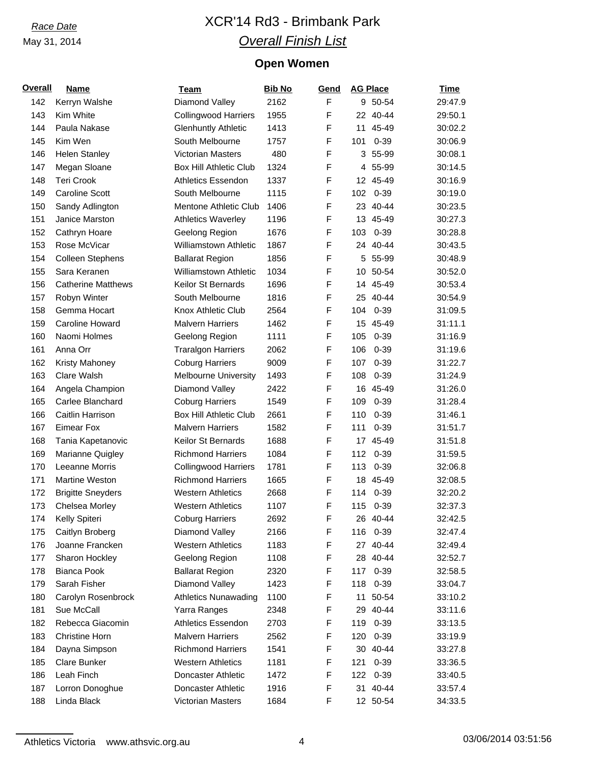# *Race Date* XCR'14 Rd3 - Brimbank Park *Overall Finish List*

## **Open Women**

| <b>Overall</b> | <b>Name</b>               | <u>Team</u>                                             | <b>Bib No</b> | Gend | <b>AG Place</b> | <b>Time</b> |
|----------------|---------------------------|---------------------------------------------------------|---------------|------|-----------------|-------------|
| 142            | Kerryn Walshe             | Diamond Valley                                          | 2162          | F    | 9 50-54         | 29:47.9     |
| 143            | Kim White                 | <b>Collingwood Harriers</b>                             | 1955          | F    | 22 40-44        | 29:50.1     |
| 144            | Paula Nakase              | <b>Glenhuntly Athletic</b>                              | 1413          | F    | 45-49<br>11     | 30:02.2     |
| 145            | Kim Wen                   | South Melbourne                                         | 1757          | F    | $0 - 39$<br>101 | 30:06.9     |
| 146            | <b>Helen Stanley</b>      | Victorian Masters                                       | 480           | F    | 55-99<br>3      | 30:08.1     |
| 147            | Megan Sloane              | <b>Box Hill Athletic Club</b>                           | 1324          | F    | 55-99<br>4      | 30:14.5     |
| 148            | <b>Teri Crook</b>         | <b>Athletics Essendon</b>                               | 1337          | F    | 12 45-49        | 30:16.9     |
| 149            | <b>Caroline Scott</b>     | South Melbourne                                         | 1115          | F    | $0 - 39$<br>102 | 30:19.0     |
| 150            | Sandy Adlington           | Mentone Athletic Club                                   | 1406          | F    | 23 40-44        | 30:23.5     |
| 151            | Janice Marston            | <b>Athletics Waverley</b>                               | 1196          | F    | 13 45-49        | 30:27.3     |
| 152            | Cathryn Hoare             | Geelong Region                                          | 1676          | F    | $0 - 39$<br>103 | 30:28.8     |
| 153            | Rose McVicar              | Williamstown Athletic                                   | 1867          | F    | 24 40-44        | 30:43.5     |
| 154            | <b>Colleen Stephens</b>   | <b>Ballarat Region</b>                                  | 1856          | F    | 55-99<br>5      | 30:48.9     |
| 155            | Sara Keranen              | <b>Williamstown Athletic</b>                            | 1034          | F    | 50-54<br>10     | 30:52.0     |
| 156            | <b>Catherine Matthews</b> | <b>Keilor St Bernards</b>                               | 1696          | F    | 45-49<br>14     | 30:53.4     |
| 157            | Robyn Winter              | South Melbourne                                         | 1816          | F    | 40-44<br>25     | 30:54.9     |
| 158            | Gemma Hocart              | Knox Athletic Club                                      | 2564          | F    | $0 - 39$<br>104 | 31:09.5     |
| 159            | Caroline Howard           | <b>Malvern Harriers</b>                                 | 1462          | F    | 15 45-49        | 31:11.1     |
| 160            | Naomi Holmes              | Geelong Region                                          | 1111          | F    | $0 - 39$<br>105 | 31:16.9     |
| 161            | Anna Orr                  | <b>Traralgon Harriers</b>                               | 2062          | F    | $0 - 39$<br>106 | 31:19.6     |
| 162            | Kristy Mahoney            | <b>Coburg Harriers</b>                                  | 9009          | F    | 107<br>$0 - 39$ | 31:22.7     |
| 163            | Clare Walsh               | <b>Melbourne University</b>                             | 1493          | F    | 108<br>$0 - 39$ | 31:24.9     |
| 164            | Angela Champion           | Diamond Valley                                          | 2422          | F    | 16 45-49        | 31:26.0     |
| 165            | Carlee Blanchard          | <b>Coburg Harriers</b>                                  | 1549          | F    | 109<br>$0 - 39$ | 31:28.4     |
| 166            | Caitlin Harrison          | <b>Box Hill Athletic Club</b>                           | 2661          | F    | $0 - 39$<br>110 | 31:46.1     |
| 167            | <b>Eimear Fox</b>         | <b>Malvern Harriers</b>                                 | 1582          | F    | 111<br>$0 - 39$ | 31:51.7     |
| 168            | Tania Kapetanovic         | Keilor St Bernards                                      | 1688          | F    | 17 45-49        | 31:51.8     |
| 169            | Marianne Quigley          | <b>Richmond Harriers</b>                                | 1084          | F    | $0 - 39$<br>112 | 31:59.5     |
|                | Leeanne Morris            |                                                         | 1781          | F    | $0 - 39$<br>113 |             |
| 170            |                           | <b>Collingwood Harriers</b><br><b>Richmond Harriers</b> |               | F    |                 | 32:06.8     |
| 171            | Martine Weston            |                                                         | 1665          |      | 45-49<br>18     | 32:08.5     |
| 172            | <b>Brigitte Sneyders</b>  | <b>Western Athletics</b>                                | 2668          | F    | 114<br>$0 - 39$ | 32:20.2     |
| 173            | Chelsea Morley            | <b>Western Athletics</b>                                | 1107          | F    | 115 0-39        | 32:37.3     |
| 174            | Kelly Spiteri             | <b>Coburg Harriers</b>                                  | 2692          | F    | 26 40-44        | 32:42.5     |
| 175            | Caitlyn Broberg           | Diamond Valley                                          | 2166          | F    | $0 - 39$<br>116 | 32:47.4     |
| 176            | Joanne Francken           | <b>Western Athletics</b>                                | 1183          | F    | 40-44<br>27     | 32:49.4     |
| 177            | Sharon Hockley            | Geelong Region                                          | 1108          | F    | 28 40-44        | 32:52.7     |
| 178            | <b>Bianca Pook</b>        | <b>Ballarat Region</b>                                  | 2320          | F    | $0 - 39$<br>117 | 32:58.5     |
| 179            | Sarah Fisher              | Diamond Valley                                          | 1423          | F    | $0 - 39$<br>118 | 33:04.7     |
| 180            | Carolyn Rosenbrock        | <b>Athletics Nunawading</b>                             | 1100          | F    | 50-54<br>11     | 33:10.2     |
| 181            | Sue McCall                | Yarra Ranges                                            | 2348          | F    | 29 40-44        | 33:11.6     |
| 182            | Rebecca Giacomin          | <b>Athletics Essendon</b>                               | 2703          | F    | $0 - 39$<br>119 | 33:13.5     |
| 183            | <b>Christine Horn</b>     | <b>Malvern Harriers</b>                                 | 2562          | F    | $0 - 39$<br>120 | 33:19.9     |
| 184            | Dayna Simpson             | <b>Richmond Harriers</b>                                | 1541          | F    | 40-44<br>30     | 33:27.8     |
| 185            | Clare Bunker              | <b>Western Athletics</b>                                | 1181          | F    | 121<br>$0 - 39$ | 33:36.5     |
| 186            | Leah Finch                | Doncaster Athletic                                      | 1472          | F    | 122<br>$0 - 39$ | 33:40.5     |
| 187            | Lorron Donoghue           | Doncaster Athletic                                      | 1916          | F    | 31 40-44        | 33:57.4     |
| 188            | Linda Black               | Victorian Masters                                       | 1684          | F    | 12 50-54        | 34:33.5     |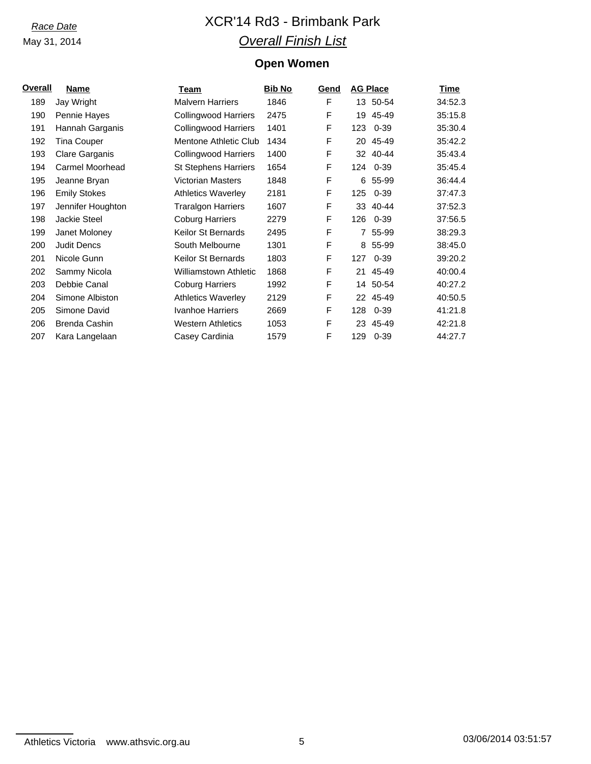# *Race Date* XCR'14 Rd3 - Brimbank Park *Overall Finish List*

## **Open Women**

| <u>Overall</u> | Name                | Team                         | <b>Bib No</b> | Gend | <b>AG Place</b> | <b>Time</b> |
|----------------|---------------------|------------------------------|---------------|------|-----------------|-------------|
| 189            | Jay Wright          | <b>Malvern Harriers</b>      | 1846          | F    | 13 50-54        | 34:52.3     |
| 190            | Pennie Hayes        | <b>Collingwood Harriers</b>  | 2475          | F    | 45-49<br>19     | 35:15.8     |
| 191            | Hannah Garganis     | <b>Collingwood Harriers</b>  | 1401          | F    | $0 - 39$<br>123 | 35:30.4     |
| 192            | Tina Couper         | Mentone Athletic Club        | 1434          | F    | 45-49<br>20     | 35:42.2     |
| 193            | Clare Garganis      | <b>Collingwood Harriers</b>  | 1400          | F    | $40 - 44$<br>32 | 35:43.4     |
| 194            | Carmel Moorhead     | <b>St Stephens Harriers</b>  | 1654          | F    | 124<br>0-39     | 35:45.4     |
| 195            | Jeanne Bryan        | <b>Victorian Masters</b>     | 1848          | F    | 55-99<br>6      | 36:44.4     |
| 196            | <b>Emily Stokes</b> | <b>Athletics Waverley</b>    | 2181          | F    | $0 - 39$<br>125 | 37:47.3     |
| 197            | Jennifer Houghton   | <b>Traralgon Harriers</b>    | 1607          | F    | 40-44<br>33     | 37:52.3     |
| 198            | <b>Jackie Steel</b> | <b>Coburg Harriers</b>       | 2279          | F    | 126<br>0-39     | 37:56.5     |
| 199            | Janet Moloney       | <b>Keilor St Bernards</b>    | 2495          | F    | 55-99<br>7      | 38:29.3     |
| 200            | <b>Judit Dencs</b>  | South Melbourne              | 1301          | F    | 55-99<br>8      | 38:45.0     |
| 201            | Nicole Gunn         | <b>Keilor St Bernards</b>    | 1803          | F    | $0 - 39$<br>127 | 39:20.2     |
| 202            | Sammy Nicola        | <b>Williamstown Athletic</b> | 1868          | F    | 45-49<br>21     | 40:00.4     |
| 203            | Debbie Canal        | <b>Coburg Harriers</b>       | 1992          | F    | 50-54<br>14     | 40:27.2     |
| 204            | Simone Albiston     | <b>Athletics Waverley</b>    | 2129          | F    | 45-49<br>22     | 40:50.5     |
| 205            | Simone David        | Ivanhoe Harriers             | 2669          | F    | 128<br>$0 - 39$ | 41:21.8     |
| 206            | Brenda Cashin       | <b>Western Athletics</b>     | 1053          | F    | 45-49<br>23     | 42:21.8     |
| 207            | Kara Langelaan      | Casey Cardinia               | 1579          | F    | 129<br>$0 - 39$ | 44:27.7     |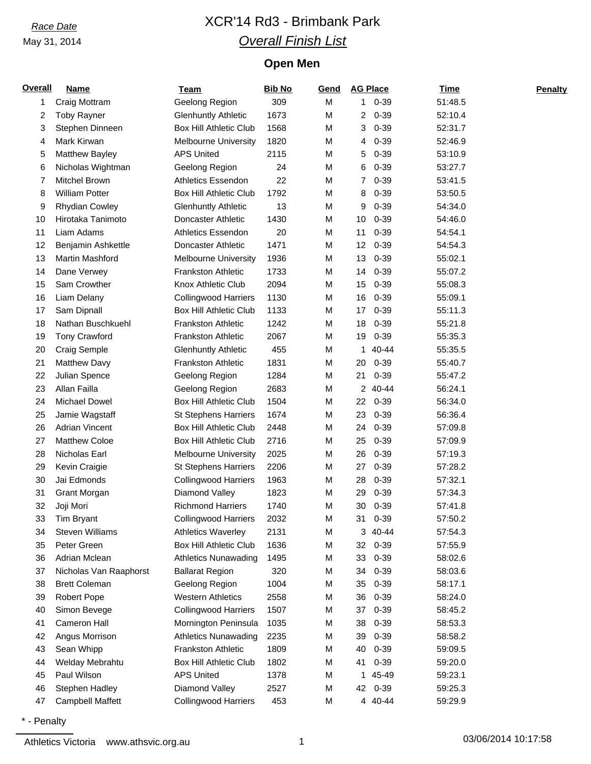# *Race Date* XCR'14 Rd3 - Brimbank Park *Overall Finish List*

## **Open Men**

| <b>Overall</b> | <b>Name</b>            | <b>Team</b>                   | <b>Bib No</b> | Gend |                | <b>AG Place</b> | Time    | <b>Penalty</b> |
|----------------|------------------------|-------------------------------|---------------|------|----------------|-----------------|---------|----------------|
| 1              | Craig Mottram          | Geelong Region                | 309           | M    | 1              | $0 - 39$        | 51:48.5 |                |
| 2              | <b>Toby Rayner</b>     | <b>Glenhuntly Athletic</b>    | 1673          | M    | 2              | $0 - 39$        | 52:10.4 |                |
| 3              | Stephen Dinneen        | <b>Box Hill Athletic Club</b> | 1568          | M    | 3              | $0 - 39$        | 52:31.7 |                |
| 4              | Mark Kirwan            | <b>Melbourne University</b>   | 1820          | M    | 4              | $0 - 39$        | 52:46.9 |                |
| 5              | <b>Matthew Bayley</b>  | <b>APS United</b>             | 2115          | M    | 5              | $0 - 39$        | 53:10.9 |                |
| 6              | Nicholas Wightman      | Geelong Region                | 24            | M    | 6              | $0 - 39$        | 53:27.7 |                |
| 7              | Mitchel Brown          | <b>Athletics Essendon</b>     | 22            | M    | $\overline{7}$ | $0 - 39$        | 53:41.5 |                |
| 8              | <b>William Potter</b>  | <b>Box Hill Athletic Club</b> | 1792          | M    | 8              | $0 - 39$        | 53:50.5 |                |
| 9              | <b>Rhydian Cowley</b>  | <b>Glenhuntly Athletic</b>    | 13            | M    | 9              | $0 - 39$        | 54:34.0 |                |
| 10             | Hirotaka Tanimoto      | Doncaster Athletic            | 1430          | М    | 10             | $0 - 39$        | 54:46.0 |                |
| 11             | Liam Adams             | <b>Athletics Essendon</b>     | 20            | M    | 11             | $0 - 39$        | 54:54.1 |                |
| 12             | Benjamin Ashkettle     | Doncaster Athletic            | 1471          | M    | 12             | $0 - 39$        | 54:54.3 |                |
| 13             | <b>Martin Mashford</b> | <b>Melbourne University</b>   | 1936          | M    | 13             | $0 - 39$        | 55:02.1 |                |
| 14             | Dane Verwey            | <b>Frankston Athletic</b>     | 1733          | М    | 14             | $0 - 39$        | 55:07.2 |                |
| 15             | Sam Crowther           | Knox Athletic Club            | 2094          | M    | 15             | $0 - 39$        | 55:08.3 |                |
| 16             | Liam Delany            | <b>Collingwood Harriers</b>   | 1130          | M    | 16             | $0 - 39$        | 55:09.1 |                |
| 17             | Sam Dipnall            | <b>Box Hill Athletic Club</b> | 1133          | M    | 17             | $0 - 39$        | 55:11.3 |                |
| 18             | Nathan Buschkuehl      | <b>Frankston Athletic</b>     | 1242          | М    | 18             | $0 - 39$        | 55:21.8 |                |
| 19             | <b>Tony Crawford</b>   | <b>Frankston Athletic</b>     | 2067          | M    | 19             | $0 - 39$        | 55:35.3 |                |
| 20             | Craig Semple           | <b>Glenhuntly Athletic</b>    | 455           | M    | 1              | 40-44           | 55:35.5 |                |
| 21             | <b>Matthew Davy</b>    | <b>Frankston Athletic</b>     | 1831          | M    | 20             | $0 - 39$        | 55:40.7 |                |
| 22             | Julian Spence          | Geelong Region                | 1284          | M    | 21             | $0 - 39$        | 55:47.2 |                |
| 23             | Allan Failla           | Geelong Region                | 2683          | M    |                | 2 40-44         | 56:24.1 |                |
| 24             | <b>Michael Dowel</b>   | <b>Box Hill Athletic Club</b> | 1504          | M    | 22             | $0 - 39$        | 56:34.0 |                |
| 25             | Jamie Wagstaff         | <b>St Stephens Harriers</b>   | 1674          | M    | 23             | $0 - 39$        | 56:36.4 |                |
| 26             | <b>Adrian Vincent</b>  | <b>Box Hill Athletic Club</b> | 2448          | M    | 24             | $0 - 39$        | 57:09.8 |                |
| 27             | <b>Matthew Coloe</b>   | <b>Box Hill Athletic Club</b> | 2716          | M    | 25             | $0 - 39$        | 57:09.9 |                |
| 28             | Nicholas Earl          | <b>Melbourne University</b>   | 2025          | M    | 26             | $0 - 39$        | 57:19.3 |                |
| 29             | Kevin Craigie          | <b>St Stephens Harriers</b>   | 2206          | M    | 27             | $0 - 39$        | 57:28.2 |                |
| 30             | Jai Edmonds            | <b>Collingwood Harriers</b>   | 1963          | M    | 28             | $0 - 39$        | 57:32.1 |                |
| 31             | Grant Morgan           | Diamond Valley                | 1823          | M    | 29             | $0 - 39$        | 57:34.3 |                |
| 32             | Joji Mori              | <b>Richmond Harriers</b>      | 1740          | M    | 30             | 0-39            | 57:41.8 |                |
| 33             | Tim Bryant             | <b>Collingwood Harriers</b>   | 2032          | M    | 31             | $0 - 39$        | 57:50.2 |                |
| 34             | <b>Steven Williams</b> | <b>Athletics Waverley</b>     | 2131          | М    | 3              | 40-44           | 57:54.3 |                |
| 35             | Peter Green            | <b>Box Hill Athletic Club</b> | 1636          | M    | 32             | $0 - 39$        | 57:55.9 |                |
| 36             | Adrian Mclean          | <b>Athletics Nunawading</b>   | 1495          | M    | 33             | $0 - 39$        | 58:02.6 |                |
| 37             | Nicholas Van Raaphorst | <b>Ballarat Region</b>        | 320           | M    | 34             | $0 - 39$        | 58:03.6 |                |
| 38             | <b>Brett Coleman</b>   | Geelong Region                | 1004          | M    | 35             | $0 - 39$        | 58:17.1 |                |
| 39             | Robert Pope            | <b>Western Athletics</b>      | 2558          | M    | 36             | $0 - 39$        | 58:24.0 |                |
| 40             | Simon Bevege           | <b>Collingwood Harriers</b>   | 1507          | M    | 37             | $0 - 39$        | 58:45.2 |                |
| 41             | Cameron Hall           | Mornington Peninsula          | 1035          | M    | 38             | $0 - 39$        | 58:53.3 |                |
| 42             | Angus Morrison         | <b>Athletics Nunawading</b>   | 2235          | М    | 39             | $0 - 39$        | 58:58.2 |                |
| 43             | Sean Whipp             | Frankston Athletic            | 1809          | M    | 40             | $0 - 39$        | 59:09.5 |                |
| 44             | Welday Mebrahtu        | Box Hill Athletic Club        | 1802          | M    | 41             | $0 - 39$        | 59:20.0 |                |
| 45             | Paul Wilson            | <b>APS United</b>             | 1378          | M    | 1              | 45-49           | 59:23.1 |                |
| 46             | Stephen Hadley         | Diamond Valley                | 2527          | М    | 42             | $0 - 39$        | 59:25.3 |                |
| 47             | Campbell Maffett       | <b>Collingwood Harriers</b>   | 453           | М    |                | 4 40-44         | 59:29.9 |                |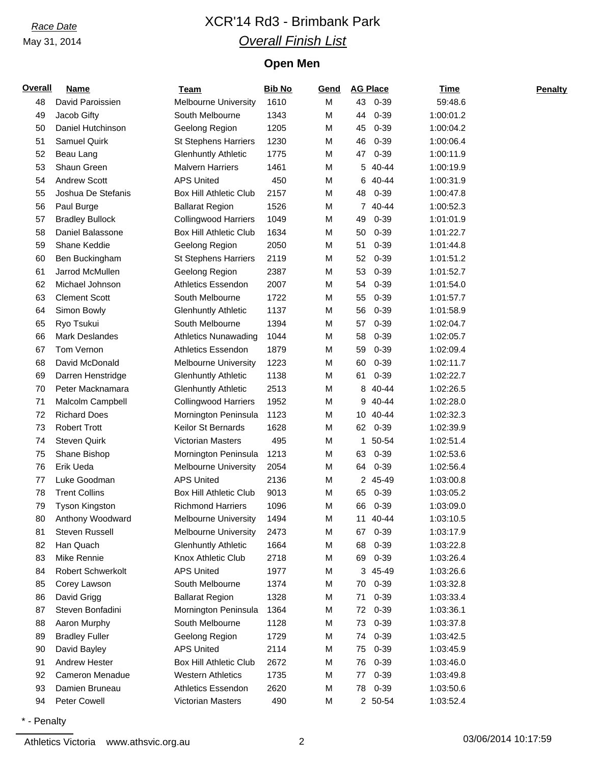# *Race Date* XCR'14 Rd3 - Brimbank Park *Overall Finish List*

## **Open Men**

| <b>Overall</b> | <b>Name</b>            | <b>Team</b>                   | <b>Bib No</b> | Gend | <b>AG Place</b> | <b>Time</b> | <b>Penalty</b> |
|----------------|------------------------|-------------------------------|---------------|------|-----------------|-------------|----------------|
| 48             | David Paroissien       | Melbourne University          | 1610          | M    | $0 - 39$<br>43  | 59:48.6     |                |
| 49             | Jacob Gifty            | South Melbourne               | 1343          | M    | $0 - 39$<br>44  | 1:00:01.2   |                |
| 50             | Daniel Hutchinson      | Geelong Region                | 1205          | M    | 45<br>$0 - 39$  | 1:00:04.2   |                |
| 51             | Samuel Quirk           | <b>St Stephens Harriers</b>   | 1230          | M    | $0 - 39$<br>46  | 1:00:06.4   |                |
| 52             | Beau Lang              | <b>Glenhuntly Athletic</b>    | 1775          | M    | 47<br>$0 - 39$  | 1:00:11.9   |                |
| 53             | Shaun Green            | <b>Malvern Harriers</b>       | 1461          | M    | 5<br>40-44      | 1:00:19.9   |                |
| 54             | <b>Andrew Scott</b>    | <b>APS United</b>             | 450           | M    | 40-44<br>6      | 1:00:31.9   |                |
| 55             | Joshua De Stefanis     | <b>Box Hill Athletic Club</b> | 2157          | M    | $0 - 39$<br>48  | 1:00:47.8   |                |
| 56             | Paul Burge             | <b>Ballarat Region</b>        | 1526          | M    | 7<br>40-44      | 1:00:52.3   |                |
| 57             | <b>Bradley Bullock</b> | <b>Collingwood Harriers</b>   | 1049          | M    | $0 - 39$<br>49  | 1:01:01.9   |                |
| 58             | Daniel Balassone       | <b>Box Hill Athletic Club</b> | 1634          | M    | 50<br>$0 - 39$  | 1:01:22.7   |                |
| 59             | Shane Keddie           | Geelong Region                | 2050          | M    | 51<br>$0 - 39$  | 1:01:44.8   |                |
| 60             | Ben Buckingham         | <b>St Stephens Harriers</b>   | 2119          | M    | 52<br>$0 - 39$  | 1:01:51.2   |                |
| 61             | Jarrod McMullen        | Geelong Region                | 2387          | M    | 53<br>$0 - 39$  | 1:01:52.7   |                |
| 62             | Michael Johnson        | <b>Athletics Essendon</b>     | 2007          | M    | $0 - 39$<br>54  | 1:01:54.0   |                |
| 63             | <b>Clement Scott</b>   | South Melbourne               | 1722          | M    | $0 - 39$<br>55  | 1:01:57.7   |                |
| 64             | Simon Bowly            | <b>Glenhuntly Athletic</b>    | 1137          | M    | 56<br>$0 - 39$  | 1:01:58.9   |                |
| 65             | Ryo Tsukui             | South Melbourne               | 1394          | M    | $0 - 39$<br>57  | 1:02:04.7   |                |
| 66             | <b>Mark Deslandes</b>  | <b>Athletics Nunawading</b>   | 1044          | M    | 58<br>$0 - 39$  | 1:02:05.7   |                |
| 67             | Tom Vernon             | <b>Athletics Essendon</b>     | 1879          | M    | $0 - 39$<br>59  | 1:02:09.4   |                |
| 68             | David McDonald         | <b>Melbourne University</b>   | 1223          | M    | 60<br>$0 - 39$  | 1:02:11.7   |                |
| 69             | Darren Henstridge      | <b>Glenhuntly Athletic</b>    | 1138          | M    | $0 - 39$<br>61  | 1:02:22.7   |                |
| 70             | Peter Macknamara       | <b>Glenhuntly Athletic</b>    | 2513          | M    | 40-44<br>8      | 1:02:26.5   |                |
| 71             | Malcolm Campbell       | <b>Collingwood Harriers</b>   | 1952          | M    | 40-44<br>9      | 1:02:28.0   |                |
| 72             | <b>Richard Does</b>    | Mornington Peninsula          | 1123          | M    | 10 40-44        | 1:02:32.3   |                |
| 73             | <b>Robert Trott</b>    | Keilor St Bernards            | 1628          | M    | $0 - 39$<br>62  | 1:02:39.9   |                |
| 74             | <b>Steven Quirk</b>    | <b>Victorian Masters</b>      | 495           | M    | 50-54<br>1.     | 1:02:51.4   |                |
| 75             | Shane Bishop           | Mornington Peninsula          | 1213          | M    | $0 - 39$<br>63  | 1:02:53.6   |                |
| 76             | Erik Ueda              | <b>Melbourne University</b>   | 2054          | M    | 64<br>$0 - 39$  | 1:02:56.4   |                |
| 77             | Luke Goodman           | <b>APS United</b>             | 2136          | M    | 45-49<br>2.     | 1:03:00.8   |                |
| 78             | <b>Trent Collins</b>   | <b>Box Hill Athletic Club</b> | 9013          | M    | 65<br>$0 - 39$  | 1:03:05.2   |                |
| 79             | <b>Tyson Kingston</b>  | <b>Richmond Harriers</b>      | 1096          | M    | 66<br>$0 - 39$  | 1:03:09.0   |                |
| 80             | Anthony Woodward       | Melbourne University          | 1494          | M    | 11<br>40-44     | 1:03:10.5   |                |
| 81             | Steven Russell         | <b>Melbourne University</b>   | 2473          | M    | $0 - 39$<br>67  | 1:03:17.9   |                |
| 82             | Han Quach              | <b>Glenhuntly Athletic</b>    | 1664          | M    | $0 - 39$<br>68  | 1:03:22.8   |                |
| 83             | Mike Rennie            | Knox Athletic Club            | 2718          | M    | $0 - 39$<br>69  | 1:03:26.4   |                |
| 84             | Robert Schwerkolt      | <b>APS United</b>             | 1977          | M    | 3 45-49         | 1:03:26.6   |                |
| 85             | Corey Lawson           | South Melbourne               | 1374          | M    | $0 - 39$<br>70  | 1:03:32.8   |                |
| 86             | David Grigg            | <b>Ballarat Region</b>        | 1328          | M    | $0 - 39$<br>71  | 1:03:33.4   |                |
| 87             | Steven Bonfadini       | Mornington Peninsula          | 1364          | M    | $0 - 39$<br>72  | 1:03:36.1   |                |
| 88             | Aaron Murphy           | South Melbourne               | 1128          | M    | $0 - 39$<br>73  | 1:03:37.8   |                |
| 89             | <b>Bradley Fuller</b>  | Geelong Region                | 1729          | M    | $0 - 39$<br>74  | 1:03:42.5   |                |
| 90             | David Bayley           | <b>APS United</b>             | 2114          | M    | $0 - 39$<br>75  | 1:03:45.9   |                |
| 91             | <b>Andrew Hester</b>   | <b>Box Hill Athletic Club</b> | 2672          | M    | $0 - 39$<br>76  | 1:03:46.0   |                |
| 92             | Cameron Menadue        | <b>Western Athletics</b>      | 1735          | M    | $0 - 39$<br>77  | 1:03:49.8   |                |
| 93             | Damien Bruneau         | <b>Athletics Essendon</b>     | 2620          | M    | $0 - 39$<br>78  | 1:03:50.6   |                |
| 94             | Peter Cowell           | Victorian Masters             | 490           | М    | 2 50-54         | 1:03:52.4   |                |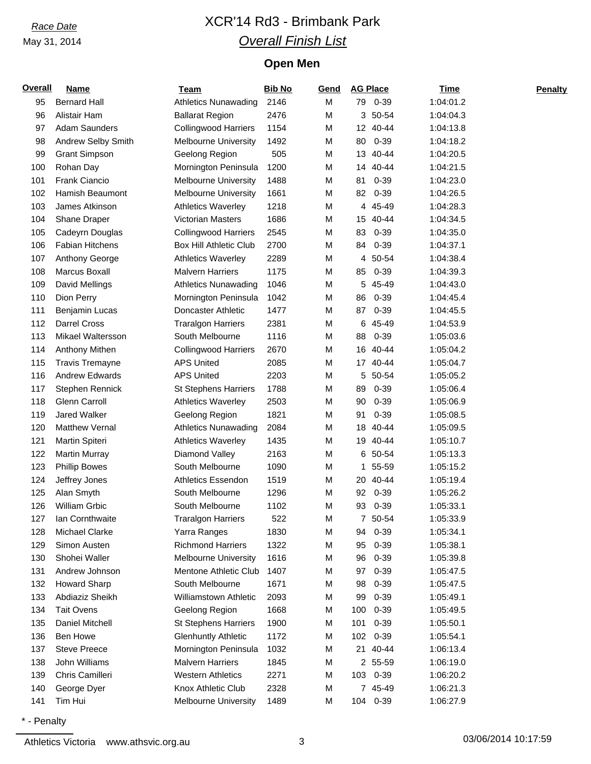# *Race Date* XCR'14 Rd3 - Brimbank Park *Overall Finish List*

## **Open Men**

| <b>Overall</b> | <b>Name</b>            | <b>Team</b>                   | <b>Bib No</b> | Gend |     | <b>AG Place</b> | <b>Time</b> | <b>Penalty</b> |
|----------------|------------------------|-------------------------------|---------------|------|-----|-----------------|-------------|----------------|
| 95             | <b>Bernard Hall</b>    | <b>Athletics Nunawading</b>   | 2146          | M    |     | 79 0-39         | 1:04:01.2   |                |
| 96             | Alistair Ham           | <b>Ballarat Region</b>        | 2476          | M    | 3   | 50-54           | 1:04:04.3   |                |
| 97             | <b>Adam Saunders</b>   | <b>Collingwood Harriers</b>   | 1154          | М    |     | 12 40-44        | 1:04:13.8   |                |
| 98             | Andrew Selby Smith     | <b>Melbourne University</b>   | 1492          | М    | 80  | $0 - 39$        | 1:04:18.2   |                |
| 99             | <b>Grant Simpson</b>   | Geelong Region                | 505           | М    | 13  | 40-44           | 1:04:20.5   |                |
| 100            | Rohan Day              | Mornington Peninsula          | 1200          | М    |     | 14 40-44        | 1:04:21.5   |                |
| 101            | Frank Ciancio          | <b>Melbourne University</b>   | 1488          | M    | 81  | $0 - 39$        | 1:04:23.0   |                |
| 102            | Hamish Beaumont        | <b>Melbourne University</b>   | 1661          | М    | 82  | $0 - 39$        | 1:04:26.5   |                |
| 103            | James Atkinson         | <b>Athletics Waverley</b>     | 1218          | М    | 4   | 45-49           | 1:04:28.3   |                |
| 104            | Shane Draper           | Victorian Masters             | 1686          | М    |     | 15 40-44        | 1:04:34.5   |                |
| 105            | Cadeyrn Douglas        | <b>Collingwood Harriers</b>   | 2545          | М    | 83  | $0 - 39$        | 1:04:35.0   |                |
| 106            | <b>Fabian Hitchens</b> | <b>Box Hill Athletic Club</b> | 2700          | М    | 84  | $0 - 39$        | 1:04:37.1   |                |
| 107            | Anthony George         | <b>Athletics Waverley</b>     | 2289          | М    | 4   | 50-54           | 1:04:38.4   |                |
| 108            | Marcus Boxall          | <b>Malvern Harriers</b>       | 1175          | M    | 85  | $0 - 39$        | 1:04:39.3   |                |
| 109            | David Mellings         | <b>Athletics Nunawading</b>   | 1046          | М    | 5   | 45-49           | 1:04:43.0   |                |
| 110            | Dion Perry             | Mornington Peninsula          | 1042          | М    | 86  | $0 - 39$        | 1:04:45.4   |                |
| 111            | <b>Benjamin Lucas</b>  | Doncaster Athletic            | 1477          | M    | 87  | $0 - 39$        | 1:04:45.5   |                |
| 112            | <b>Darrel Cross</b>    | <b>Traralgon Harriers</b>     | 2381          | M    | 6   | 45-49           | 1:04:53.9   |                |
| 113            | Mikael Waltersson      | South Melbourne               | 1116          | М    | 88  | $0 - 39$        | 1:05:03.6   |                |
| 114            | Anthony Mithen         | <b>Collingwood Harriers</b>   | 2670          | М    |     | 16 40-44        | 1:05:04.2   |                |
| 115            | <b>Travis Tremayne</b> | <b>APS United</b>             | 2085          | M    |     | 17 40-44        | 1:05:04.7   |                |
| 116            | <b>Andrew Edwards</b>  | <b>APS United</b>             | 2203          | M    | 5   | 50-54           | 1:05:05.2   |                |
| 117            | Stephen Rennick        | <b>St Stephens Harriers</b>   | 1788          | М    | 89  | $0 - 39$        | 1:05:06.4   |                |
| 118            | Glenn Carroll          | <b>Athletics Waverley</b>     | 2503          | М    | 90  | $0 - 39$        | 1:05:06.9   |                |
| 119            | <b>Jared Walker</b>    | Geelong Region                | 1821          | M    | 91  | $0 - 39$        | 1:05:08.5   |                |
| 120            | <b>Matthew Vernal</b>  | <b>Athletics Nunawading</b>   | 2084          | M    | 18  | 40-44           | 1:05:09.5   |                |
| 121            | Martin Spiteri         | <b>Athletics Waverley</b>     | 1435          | M    | 19  | 40-44           | 1:05:10.7   |                |
| 122            | <b>Martin Murray</b>   | Diamond Valley                | 2163          | M    |     | 6 50-54         | 1:05:13.3   |                |
| 123            | <b>Phillip Bowes</b>   | South Melbourne               | 1090          | M    | 1   | 55-59           | 1:05:15.2   |                |
| 124            | Jeffrey Jones          | <b>Athletics Essendon</b>     | 1519          | M    |     | 20 40-44        | 1:05:19.4   |                |
| 125            | Alan Smyth             | South Melbourne               | 1296          | M    | 92  | $0 - 39$        | 1:05:26.2   |                |
| 126            | William Grbic          | South Melbourne               | 1102          | М    | 93  | $0 - 39$        | 1:05:33.1   |                |
| 127            | Ian Cornthwaite        | <b>Traralgon Harriers</b>     | 522           | M    | 7   | 50-54           | 1:05:33.9   |                |
| 128            | Michael Clarke         | Yarra Ranges                  | 1830          | M    | 94  | $0 - 39$        | 1:05:34.1   |                |
| 129            | Simon Austen           | <b>Richmond Harriers</b>      | 1322          | M    | 95  | $0 - 39$        | 1:05:38.1   |                |
| 130            | Shohei Waller          | <b>Melbourne University</b>   | 1616          | М    | 96  | $0 - 39$        | 1:05:39.8   |                |
| 131            | Andrew Johnson         | Mentone Athletic Club         | 1407          | М    | 97  | $0 - 39$        | 1:05:47.5   |                |
| 132            | <b>Howard Sharp</b>    | South Melbourne               | 1671          | M    | 98  | $0 - 39$        | 1:05:47.5   |                |
| 133            | Abdiaziz Sheikh        | Williamstown Athletic         | 2093          | М    | 99  | $0 - 39$        | 1:05:49.1   |                |
| 134            | <b>Tait Ovens</b>      | Geelong Region                | 1668          | M    | 100 | $0 - 39$        | 1:05:49.5   |                |
| 135            | Daniel Mitchell        | <b>St Stephens Harriers</b>   | 1900          | M    | 101 | $0 - 39$        | 1:05:50.1   |                |
| 136            | Ben Howe               | <b>Glenhuntly Athletic</b>    | 1172          | M    | 102 | $0 - 39$        | 1:05:54.1   |                |
| 137            | <b>Steve Preece</b>    | Mornington Peninsula          | 1032          | M    |     | 21 40-44        | 1:06:13.4   |                |
| 138            | John Williams          | <b>Malvern Harriers</b>       | 1845          | М    |     | 2 55-59         | 1:06:19.0   |                |
| 139            | Chris Camilleri        | <b>Western Athletics</b>      | 2271          | М    | 103 | $0 - 39$        | 1:06:20.2   |                |
| 140            | George Dyer            | Knox Athletic Club            | 2328          | M    |     | 7 45-49         | 1:06:21.3   |                |
| 141            | Tim Hui                | Melbourne University          | 1489          | M    | 104 | $0 - 39$        | 1:06:27.9   |                |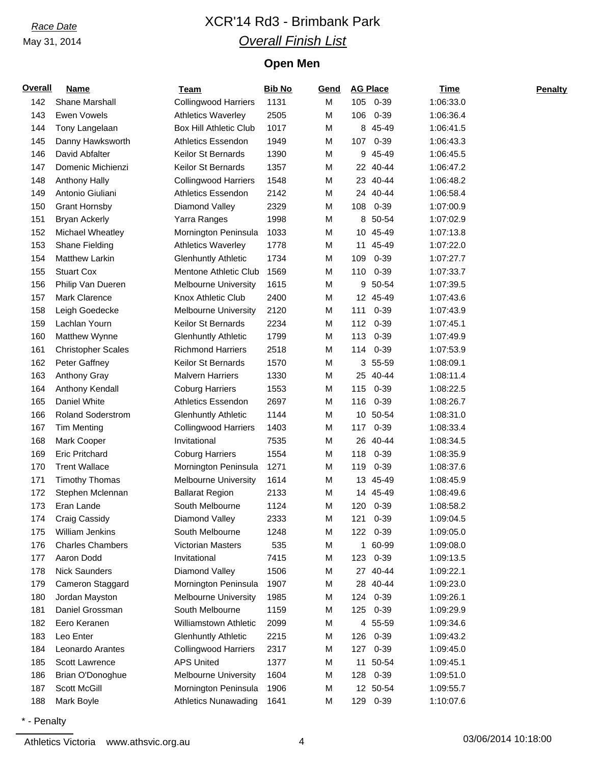# *Race Date* XCR'14 Rd3 - Brimbank Park *Overall Finish List*

## **Open Men**

| <b>Overall</b> | <b>Name</b>               | <b>Team</b>                   | <b>Bib No</b> | Gend |     | <b>AG Place</b> | <b>Time</b> | <b>Penalty</b> |
|----------------|---------------------------|-------------------------------|---------------|------|-----|-----------------|-------------|----------------|
| 142            | Shane Marshall            | <b>Collingwood Harriers</b>   | 1131          | M    |     | 105 0-39        | 1:06:33.0   |                |
| 143            | Ewen Vowels               | <b>Athletics Waverley</b>     | 2505          | M    | 106 | $0 - 39$        | 1:06:36.4   |                |
| 144            | Tony Langelaan            | <b>Box Hill Athletic Club</b> | 1017          | M    |     | 8 45-49         | 1:06:41.5   |                |
| 145            | Danny Hawksworth          | Athletics Essendon            | 1949          | М    | 107 | $0 - 39$        | 1:06:43.3   |                |
| 146            | David Abfalter            | Keilor St Bernards            | 1390          | М    | 9   | 45-49           | 1:06:45.5   |                |
| 147            | Domenic Michienzi         | Keilor St Bernards            | 1357          | М    |     | 22 40-44        | 1:06:47.2   |                |
| 148            | <b>Anthony Hally</b>      | <b>Collingwood Harriers</b>   | 1548          | M    |     | 23 40-44        | 1:06:48.2   |                |
| 149            | Antonio Giuliani          | Athletics Essendon            | 2142          | М    |     | 24 40-44        | 1:06:58.4   |                |
| 150            | <b>Grant Hornsby</b>      | Diamond Valley                | 2329          | М    | 108 | $0 - 39$        | 1:07:00.9   |                |
| 151            | <b>Bryan Ackerly</b>      | Yarra Ranges                  | 1998          | M    |     | 8 50-54         | 1:07:02.9   |                |
| 152            | Michael Wheatley          | Mornington Peninsula          | 1033          | М    | 10  | 45-49           | 1:07:13.8   |                |
| 153            | Shane Fielding            | <b>Athletics Waverley</b>     | 1778          | М    | 11  | 45-49           | 1:07:22.0   |                |
| 154            | <b>Matthew Larkin</b>     | <b>Glenhuntly Athletic</b>    | 1734          | М    | 109 | $0 - 39$        | 1:07:27.7   |                |
| 155            | <b>Stuart Cox</b>         | Mentone Athletic Club         | 1569          | М    | 110 | $0 - 39$        | 1:07:33.7   |                |
| 156            | Philip Van Dueren         | <b>Melbourne University</b>   | 1615          | M    | 9   | 50-54           | 1:07:39.5   |                |
| 157            | <b>Mark Clarence</b>      | Knox Athletic Club            | 2400          | М    |     | 12 45-49        | 1:07:43.6   |                |
| 158            | Leigh Goedecke            | <b>Melbourne University</b>   | 2120          | М    | 111 | $0 - 39$        | 1:07:43.9   |                |
| 159            | Lachlan Yourn             | <b>Keilor St Bernards</b>     | 2234          | М    | 112 | $0 - 39$        | 1:07:45.1   |                |
| 160            | Matthew Wynne             | <b>Glenhuntly Athletic</b>    | 1799          | M    | 113 | $0 - 39$        | 1:07:49.9   |                |
| 161            | <b>Christopher Scales</b> | <b>Richmond Harriers</b>      | 2518          | М    | 114 | $0 - 39$        | 1:07:53.9   |                |
| 162            | Peter Gaffney             | Keilor St Bernards            | 1570          | M    | 3   | 55-59           | 1:08:09.1   |                |
| 163            | Anthony Gray              | <b>Malvern Harriers</b>       | 1330          | М    |     | 25 40-44        | 1:08:11.4   |                |
| 164            | Anthony Kendall           | <b>Coburg Harriers</b>        | 1553          | М    | 115 | $0 - 39$        | 1:08:22.5   |                |
| 165            | Daniel White              | Athletics Essendon            | 2697          | М    | 116 | $0 - 39$        | 1:08:26.7   |                |
| 166            | <b>Roland Soderstrom</b>  | <b>Glenhuntly Athletic</b>    | 1144          | М    |     | 10 50-54        | 1:08:31.0   |                |
| 167            | <b>Tim Menting</b>        | <b>Collingwood Harriers</b>   | 1403          | М    | 117 | $0 - 39$        | 1:08:33.4   |                |
| 168            | Mark Cooper               | Invitational                  | 7535          | М    |     | 26 40-44        | 1:08:34.5   |                |
| 169            | <b>Eric Pritchard</b>     | <b>Coburg Harriers</b>        | 1554          | М    | 118 | $0 - 39$        | 1:08:35.9   |                |
| 170            | <b>Trent Wallace</b>      | Mornington Peninsula          | 1271          | M    | 119 | $0 - 39$        | 1:08:37.6   |                |
| 171            | <b>Timothy Thomas</b>     | <b>Melbourne University</b>   | 1614          | M    |     | 13 45-49        | 1:08:45.9   |                |
| 172            | Stephen Mclennan          | <b>Ballarat Region</b>        | 2133          | M    | 14  | 45-49           | 1:08:49.6   |                |
| 173            | Eran Lande                | South Melbourne               | 1124          | М    |     | 120 0-39        | 1:08:58.2   |                |
| 174            | Craig Cassidy             | Diamond Valley                | 2333          | М    | 121 | 0-39            | 1:09:04.5   |                |
| 175            | William Jenkins           | South Melbourne               | 1248          | M    | 122 | $0 - 39$        | 1:09:05.0   |                |
| 176            | <b>Charles Chambers</b>   | Victorian Masters             | 535           | М    |     | 1 60-99         | 1:09:08.0   |                |
| 177            | Aaron Dodd                | Invitational                  | 7415          | М    | 123 | $0 - 39$        | 1:09:13.5   |                |
| 178            | <b>Nick Saunders</b>      | Diamond Valley                | 1506          | М    |     | 27 40-44        | 1:09:22.1   |                |
| 179            | Cameron Staggard          | Mornington Peninsula          | 1907          | М    |     | 28 40-44        | 1:09:23.0   |                |
| 180            | Jordan Mayston            | <b>Melbourne University</b>   | 1985          | М    | 124 | $0 - 39$        | 1:09:26.1   |                |
| 181            | Daniel Grossman           | South Melbourne               | 1159          | М    | 125 | $0 - 39$        | 1:09:29.9   |                |
| 182            | Eero Keranen              | Williamstown Athletic         | 2099          | М    |     | 4 55-59         | 1:09:34.6   |                |
| 183            | Leo Enter                 | <b>Glenhuntly Athletic</b>    | 2215          | М    | 126 | $0 - 39$        | 1:09:43.2   |                |
| 184            | Leonardo Arantes          | <b>Collingwood Harriers</b>   | 2317          | М    | 127 | $0 - 39$        | 1:09:45.0   |                |
| 185            | Scott Lawrence            | <b>APS United</b>             | 1377          | M    | 11  | 50-54           | 1:09:45.1   |                |
| 186            | Brian O'Donoghue          | Melbourne University          | 1604          | М    | 128 | $0 - 39$        | 1:09:51.0   |                |
| 187            | Scott McGill              | Mornington Peninsula          | 1906          | M    |     | 12 50-54        | 1:09:55.7   |                |
| 188            | Mark Boyle                | <b>Athletics Nunawading</b>   | 1641          | M    | 129 | $0 - 39$        | 1:10:07.6   |                |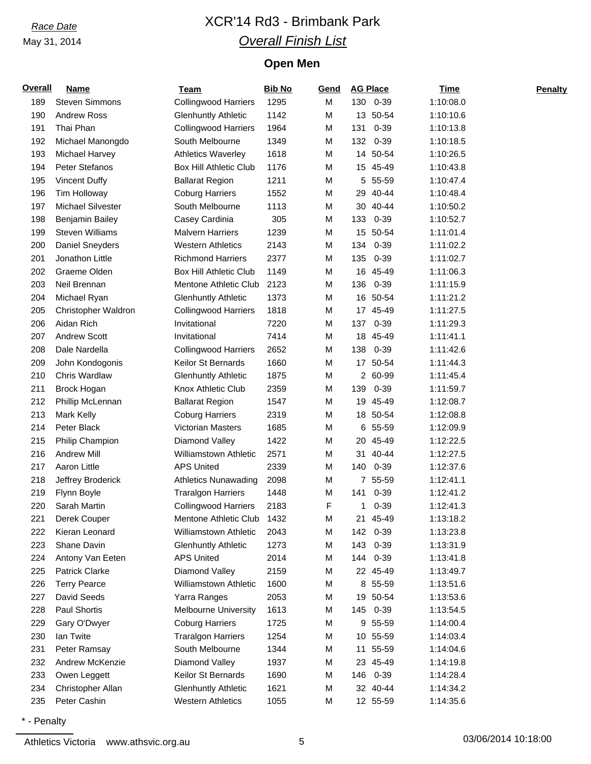# *Race Date* XCR'14 Rd3 - Brimbank Park *Overall Finish List*

## **Open Men**

| <b>Overall</b> | <b>Name</b>            | Team                          | <b>Bib No</b> | Gend |     | <b>AG Place</b> | <b>Time</b> | <b>Penalty</b> |
|----------------|------------------------|-------------------------------|---------------|------|-----|-----------------|-------------|----------------|
| 189            | Steven Simmons         | <b>Collingwood Harriers</b>   | 1295          | M    |     | 130 0-39        | 1:10:08.0   |                |
| 190            | <b>Andrew Ross</b>     | <b>Glenhuntly Athletic</b>    | 1142          | M    |     | 13 50-54        | 1:10:10.6   |                |
| 191            | Thai Phan              | <b>Collingwood Harriers</b>   | 1964          | M    | 131 | $0 - 39$        | 1:10:13.8   |                |
| 192            | Michael Manongdo       | South Melbourne               | 1349          | M    | 132 | $0 - 39$        | 1:10:18.5   |                |
| 193            | Michael Harvey         | <b>Athletics Waverley</b>     | 1618          | M    | 14  | 50-54           | 1:10:26.5   |                |
| 194            | Peter Stefanos         | <b>Box Hill Athletic Club</b> | 1176          | M    |     | 15 45-49        | 1:10:43.8   |                |
| 195            | <b>Vincent Duffy</b>   | <b>Ballarat Region</b>        | 1211          | M    | 5   | 55-59           | 1:10:47.4   |                |
| 196            | <b>Tim Holloway</b>    | <b>Coburg Harriers</b>        | 1552          | M    | 29  | 40-44           | 1:10:48.4   |                |
| 197            | Michael Silvester      | South Melbourne               | 1113          | M    | 30  | 40-44           | 1:10:50.2   |                |
| 198            | <b>Benjamin Bailey</b> | Casey Cardinia                | 305           | M    | 133 | $0 - 39$        | 1:10:52.7   |                |
| 199            | <b>Steven Williams</b> | <b>Malvern Harriers</b>       | 1239          | M    | 15  | 50-54           | 1:11:01.4   |                |
| 200            | Daniel Sneyders        | <b>Western Athletics</b>      | 2143          | M    | 134 | $0 - 39$        | 1:11:02.2   |                |
| 201            | Jonathon Little        | <b>Richmond Harriers</b>      | 2377          | M    | 135 | $0 - 39$        | 1:11:02.7   |                |
| 202            | Graeme Olden           | <b>Box Hill Athletic Club</b> | 1149          | M    |     | 16 45-49        | 1:11:06.3   |                |
| 203            | Neil Brennan           | Mentone Athletic Club         | 2123          | M    | 136 | $0 - 39$        | 1:11:15.9   |                |
| 204            | Michael Ryan           | <b>Glenhuntly Athletic</b>    | 1373          | M    |     | 16 50-54        | 1:11:21.2   |                |
| 205            | Christopher Waldron    | <b>Collingwood Harriers</b>   | 1818          | M    |     | 17 45-49        | 1:11:27.5   |                |
| 206            | Aidan Rich             | Invitational                  | 7220          | M    | 137 | $0 - 39$        | 1:11:29.3   |                |
| 207            | <b>Andrew Scott</b>    | Invitational                  | 7414          | M    |     | 18 45-49        | 1:11:41.1   |                |
| 208            | Dale Nardella          | <b>Collingwood Harriers</b>   | 2652          | M    | 138 | $0 - 39$        | 1:11:42.6   |                |
| 209            | John Kondogonis        | Keilor St Bernards            | 1660          | M    | 17  | 50-54           | 1:11:44.3   |                |
| 210            | Chris Wardlaw          | <b>Glenhuntly Athletic</b>    | 1875          | M    |     | 2 60-99         | 1:11:45.4   |                |
| 211            | Brock Hogan            | Knox Athletic Club            | 2359          | M    | 139 | $0 - 39$        | 1:11:59.7   |                |
| 212            | Phillip McLennan       | <b>Ballarat Region</b>        | 1547          | M    | 19  | 45-49           | 1:12:08.7   |                |
| 213            | <b>Mark Kelly</b>      | <b>Coburg Harriers</b>        | 2319          | M    |     | 18 50-54        | 1:12:08.8   |                |
| 214            | Peter Black            | Victorian Masters             | 1685          | M    | 6   | 55-59           | 1:12:09.9   |                |
| 215            | Philip Champion        | Diamond Valley                | 1422          | M    |     | 20 45-49        | 1:12:22.5   |                |
| 216            | <b>Andrew Mill</b>     | <b>Williamstown Athletic</b>  | 2571          | M    |     | 31 40-44        | 1:12:27.5   |                |
| 217            | Aaron Little           | <b>APS United</b>             | 2339          | M    | 140 | $0 - 39$        | 1:12:37.6   |                |
| 218            | Jeffrey Broderick      | <b>Athletics Nunawading</b>   | 2098          | M    |     | 7 55-59         | 1:12:41.1   |                |
| 219            | Flynn Boyle            | <b>Traralgon Harriers</b>     | 1448          | M    | 141 | $0 - 39$        | 1:12:41.2   |                |
| 220            | Sarah Martin           | <b>Collingwood Harriers</b>   | 2183          | F    | 1   | $0 - 39$        | 1:12:41.3   |                |
| 221            | Derek Couper           | Mentone Athletic Club         | 1432          | M    | 21  | 45-49           | 1:13:18.2   |                |
| 222            | Kieran Leonard         | <b>Williamstown Athletic</b>  | 2043          | M    | 142 | 0-39            | 1:13:23.8   |                |
| 223            | Shane Davin            | <b>Glenhuntly Athletic</b>    | 1273          | M    | 143 | $0 - 39$        | 1:13:31.9   |                |
| 224            | Antony Van Eeten       | <b>APS United</b>             | 2014          | M    | 144 | $0 - 39$        | 1:13:41.8   |                |
| 225            | <b>Patrick Clarke</b>  | Diamond Valley                | 2159          | M    |     | 22 45-49        | 1:13:49.7   |                |
| 226            | <b>Terry Pearce</b>    | Williamstown Athletic         | 1600          | M    |     | 8 55-59         | 1:13:51.6   |                |
| 227            | David Seeds            | Yarra Ranges                  | 2053          | M    |     | 19 50-54        | 1:13:53.6   |                |
| 228            | Paul Shortis           | <b>Melbourne University</b>   | 1613          | M    | 145 | $0 - 39$        | 1:13:54.5   |                |
| 229            | Gary O'Dwyer           | <b>Coburg Harriers</b>        | 1725          | M    | 9   | 55-59           | 1:14:00.4   |                |
| 230            | lan Twite              | <b>Traralgon Harriers</b>     | 1254          | M    |     | 10 55-59        | 1:14:03.4   |                |
| 231            | Peter Ramsay           | South Melbourne               | 1344          | M    | 11  | 55-59           | 1:14:04.6   |                |
| 232            | Andrew McKenzie        | Diamond Valley                | 1937          | M    |     | 23 45-49        | 1:14:19.8   |                |
| 233            | Owen Leggett           | Keilor St Bernards            | 1690          | M    | 146 | $0 - 39$        | 1:14:28.4   |                |
| 234            | Christopher Allan      | <b>Glenhuntly Athletic</b>    | 1621          | M    |     | 32 40-44        | 1:14:34.2   |                |
| 235            | Peter Cashin           | <b>Western Athletics</b>      | 1055          | M    |     | 12 55-59        | 1:14:35.6   |                |
|                |                        |                               |               |      |     |                 |             |                |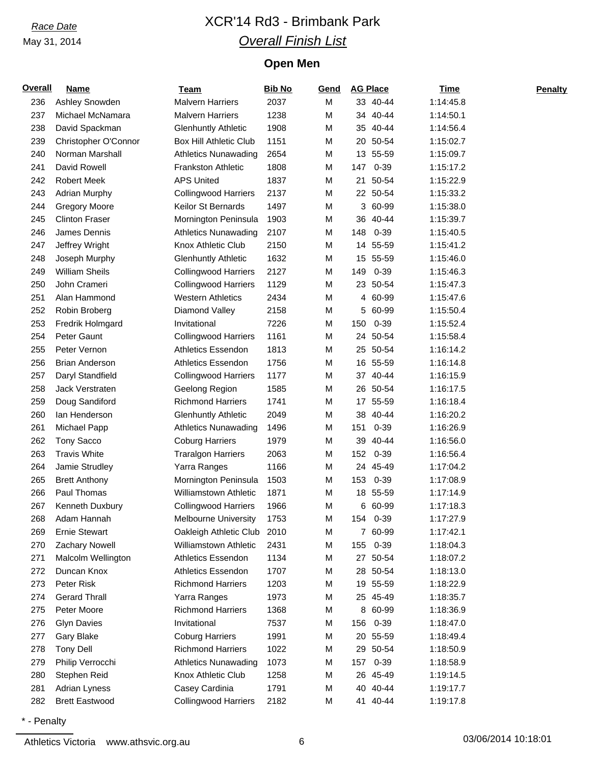# *Race Date* XCR'14 Rd3 - Brimbank Park *Overall Finish List*

## **Open Men**

| <b>Overall</b> | <b>Name</b>           | Team                          | <b>Bib No</b> | Gend |     | <b>AG Place</b> | Time      | <b>Penalty</b> |
|----------------|-----------------------|-------------------------------|---------------|------|-----|-----------------|-----------|----------------|
| 236            | Ashley Snowden        | <b>Malvern Harriers</b>       | 2037          | M    |     | 33 40-44        | 1:14:45.8 |                |
| 237            | Michael McNamara      | <b>Malvern Harriers</b>       | 1238          | M    |     | 34 40-44        | 1:14:50.1 |                |
| 238            | David Spackman        | <b>Glenhuntly Athletic</b>    | 1908          | M    |     | 35 40-44        | 1:14:56.4 |                |
| 239            | Christopher O'Connor  | <b>Box Hill Athletic Club</b> | 1151          | M    | 20  | 50-54           | 1:15:02.7 |                |
| 240            | Norman Marshall       | <b>Athletics Nunawading</b>   | 2654          | M    | 13  | 55-59           | 1:15:09.7 |                |
| 241            | David Rowell          | <b>Frankston Athletic</b>     | 1808          | M    | 147 | $0 - 39$        | 1:15:17.2 |                |
| 242            | <b>Robert Meek</b>    | <b>APS United</b>             | 1837          | M    | 21  | 50-54           | 1:15:22.9 |                |
| 243            | <b>Adrian Murphy</b>  | <b>Collingwood Harriers</b>   | 2137          | M    |     | 22 50-54        | 1:15:33.2 |                |
| 244            | <b>Gregory Moore</b>  | Keilor St Bernards            | 1497          | M    |     | 3 60-99         | 1:15:38.0 |                |
| 245            | <b>Clinton Fraser</b> | Mornington Peninsula          | 1903          | M    |     | 36 40-44        | 1:15:39.7 |                |
| 246            | James Dennis          | <b>Athletics Nunawading</b>   | 2107          | M    | 148 | $0 - 39$        | 1:15:40.5 |                |
| 247            | Jeffrey Wright        | Knox Athletic Club            | 2150          | M    | 14  | 55-59           | 1:15:41.2 |                |
| 248            | Joseph Murphy         | <b>Glenhuntly Athletic</b>    | 1632          | M    | 15  | 55-59           | 1:15:46.0 |                |
| 249            | <b>William Sheils</b> | <b>Collingwood Harriers</b>   | 2127          | M    | 149 | $0 - 39$        | 1:15:46.3 |                |
| 250            | John Crameri          | <b>Collingwood Harriers</b>   | 1129          | M    |     | 23 50-54        | 1:15:47.3 |                |
| 251            | Alan Hammond          | <b>Western Athletics</b>      | 2434          | M    | 4   | 60-99           | 1:15:47.6 |                |
| 252            | Robin Broberg         | Diamond Valley                | 2158          | M    | 5   | 60-99           | 1:15:50.4 |                |
| 253            | Fredrik Holmgard      | Invitational                  | 7226          | M    | 150 | $0 - 39$        | 1:15:52.4 |                |
| 254            | Peter Gaunt           | <b>Collingwood Harriers</b>   | 1161          | M    |     | 24 50-54        | 1:15:58.4 |                |
| 255            | Peter Vernon          | Athletics Essendon            | 1813          | M    |     | 25 50-54        | 1:16:14.2 |                |
| 256            | <b>Brian Anderson</b> | Athletics Essendon            | 1756          | M    |     | 16 55-59        | 1:16:14.8 |                |
| 257            | Daryl Standfield      | <b>Collingwood Harriers</b>   | 1177          | M    |     | 37 40-44        | 1:16:15.9 |                |
| 258            | Jack Verstraten       | Geelong Region                | 1585          | M    |     | 26 50-54        | 1:16:17.5 |                |
| 259            | Doug Sandiford        | <b>Richmond Harriers</b>      | 1741          | M    |     | 17 55-59        | 1:16:18.4 |                |
| 260            | lan Henderson         | <b>Glenhuntly Athletic</b>    | 2049          | M    | 38  | 40-44           | 1:16:20.2 |                |
| 261            | Michael Papp          | <b>Athletics Nunawading</b>   | 1496          | M    | 151 | $0 - 39$        | 1:16:26.9 |                |
| 262            | Tony Sacco            | <b>Coburg Harriers</b>        | 1979          | M    | 39  | 40-44           | 1:16:56.0 |                |
| 263            | <b>Travis White</b>   | <b>Traralgon Harriers</b>     | 2063          | M    | 152 | $0 - 39$        | 1:16:56.4 |                |
| 264            | Jamie Strudley        | Yarra Ranges                  | 1166          | M    |     | 24 45-49        | 1:17:04.2 |                |
| 265            | <b>Brett Anthony</b>  | Mornington Peninsula          | 1503          | M    | 153 | $0 - 39$        | 1:17:08.9 |                |
| 266            | Paul Thomas           | Williamstown Athletic         | 1871          | M    |     | 18 55-59        | 1:17:14.9 |                |
| 267            | Kenneth Duxbury       | <b>Collingwood Harriers</b>   | 1966          | M    |     | 6 60-99         | 1:17:18.3 |                |
| 268            | Adam Hannah           | Melbourne University          | 1753          | M    | 154 | $0 - 39$        | 1:17:27.9 |                |
| 269            | <b>Ernie Stewart</b>  | Oakleigh Athletic Club        | 2010          | M    |     | 7 60-99         | 1:17:42.1 |                |
| 270            | Zachary Nowell        | Williamstown Athletic         | 2431          | M    | 155 | $0 - 39$        | 1:18:04.3 |                |
| 271            | Malcolm Wellington    | Athletics Essendon            | 1134          | M    |     | 27 50-54        | 1:18:07.2 |                |
| 272            | Duncan Knox           | Athletics Essendon            | 1707          | M    | 28  | 50-54           | 1:18:13.0 |                |
| 273            | Peter Risk            | <b>Richmond Harriers</b>      | 1203          | M    |     | 19 55-59        | 1:18:22.9 |                |
| 274            | <b>Gerard Thrall</b>  | Yarra Ranges                  | 1973          | M    |     | 25 45-49        | 1:18:35.7 |                |
| 275            | Peter Moore           | <b>Richmond Harriers</b>      | 1368          | M    | 8   | 60-99           | 1:18:36.9 |                |
| 276            | <b>Glyn Davies</b>    | Invitational                  | 7537          | M    | 156 | $0 - 39$        | 1:18:47.0 |                |
| 277            | Gary Blake            | <b>Coburg Harriers</b>        | 1991          | M    |     | 20 55-59        | 1:18:49.4 |                |
| 278            | <b>Tony Dell</b>      | <b>Richmond Harriers</b>      | 1022          | M    | 29  | 50-54           | 1:18:50.9 |                |
| 279            | Philip Verrocchi      | <b>Athletics Nunawading</b>   | 1073          | M    | 157 | $0 - 39$        | 1:18:58.9 |                |
| 280            | Stephen Reid          | Knox Athletic Club            | 1258          | M    |     | 26 45-49        | 1:19:14.5 |                |
| 281            | Adrian Lyness         | Casey Cardinia                | 1791          | M    | 40  | 40-44           | 1:19:17.7 |                |
| 282            | <b>Brett Eastwood</b> | <b>Collingwood Harriers</b>   | 2182          | M    |     | 41 40-44        | 1:19:17.8 |                |
|                |                       |                               |               |      |     |                 |           |                |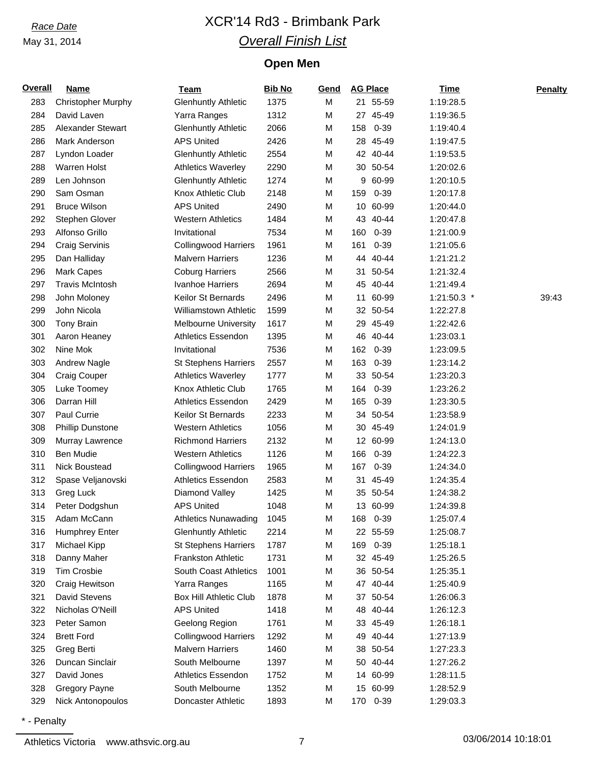# *Race Date* XCR'14 Rd3 - Brimbank Park *Overall Finish List*

## **Open Men**

| <b>Overall</b> | <b>Name</b>               | Team                         | <b>Bib No</b> | Gend |     | <b>AG Place</b> | <b>Time</b> | <b>Penalty</b> |
|----------------|---------------------------|------------------------------|---------------|------|-----|-----------------|-------------|----------------|
| 283            | <b>Christopher Murphy</b> | <b>Glenhuntly Athletic</b>   | 1375          | M    |     | 21 55-59        | 1:19:28.5   |                |
| 284            | David Laven               | Yarra Ranges                 | 1312          | M    |     | 27 45-49        | 1:19:36.5   |                |
| 285            | Alexander Stewart         | <b>Glenhuntly Athletic</b>   | 2066          | M    | 158 | $0 - 39$        | 1:19:40.4   |                |
| 286            | Mark Anderson             | <b>APS United</b>            | 2426          | M    |     | 28 45-49        | 1:19:47.5   |                |
| 287            | Lyndon Loader             | <b>Glenhuntly Athletic</b>   | 2554          | M    |     | 42 40-44        | 1:19:53.5   |                |
| 288            | Warren Holst              | <b>Athletics Waverley</b>    | 2290          | M    |     | 30 50-54        | 1:20:02.6   |                |
| 289            | Len Johnson               | <b>Glenhuntly Athletic</b>   | 1274          | M    | 9   | 60-99           | 1:20:10.5   |                |
| 290            | Sam Osman                 | Knox Athletic Club           | 2148          | M    | 159 | $0 - 39$        | 1:20:17.8   |                |
| 291            | <b>Bruce Wilson</b>       | <b>APS United</b>            | 2490          | M    |     | 10 60-99        | 1:20:44.0   |                |
| 292            | Stephen Glover            | <b>Western Athletics</b>     | 1484          | M    | 43  | 40-44           | 1:20:47.8   |                |
| 293            | Alfonso Grillo            | Invitational                 | 7534          | M    | 160 | $0 - 39$        | 1:21:00.9   |                |
| 294            | <b>Craig Servinis</b>     | <b>Collingwood Harriers</b>  | 1961          | M    | 161 | $0 - 39$        | 1:21:05.6   |                |
| 295            | Dan Halliday              | <b>Malvern Harriers</b>      | 1236          | M    |     | 44 40-44        | 1:21:21.2   |                |
| 296            | Mark Capes                | <b>Coburg Harriers</b>       | 2566          | M    | 31  | 50-54           | 1:21:32.4   |                |
| 297            | <b>Travis McIntosh</b>    | Ivanhoe Harriers             | 2694          | M    | 45  | 40-44           | 1:21:49.4   |                |
| 298            | John Moloney              | Keilor St Bernards           | 2496          | M    | 11  | 60-99           | 1:21:50.3 * | 39:43          |
| 299            | John Nicola               | <b>Williamstown Athletic</b> | 1599          | M    |     | 32 50-54        | 1:22:27.8   |                |
| 300            | Tony Brain                | <b>Melbourne University</b>  | 1617          | M    | 29  | 45-49           | 1:22:42.6   |                |
| 301            | Aaron Heaney              | Athletics Essendon           | 1395          | M    |     | 46 40-44        | 1:23:03.1   |                |
| 302            | Nine Mok                  | Invitational                 | 7536          | M    | 162 | $0 - 39$        | 1:23:09.5   |                |
| 303            | <b>Andrew Nagle</b>       | <b>St Stephens Harriers</b>  | 2557          | M    | 163 | $0 - 39$        | 1:23:14.2   |                |
| 304            | Craig Couper              | <b>Athletics Waverley</b>    | 1777          | M    |     | 33 50-54        | 1:23:20.3   |                |
| 305            | Luke Toomey               | Knox Athletic Club           | 1765          | M    | 164 | $0 - 39$        | 1:23:26.2   |                |
| 306            | Darran Hill               | <b>Athletics Essendon</b>    | 2429          | M    | 165 | $0 - 39$        | 1:23:30.5   |                |
| 307            | Paul Currie               | Keilor St Bernards           | 2233          | M    |     | 34 50-54        | 1:23:58.9   |                |
| 308            | <b>Phillip Dunstone</b>   | <b>Western Athletics</b>     | 1056          | M    |     | 30 45-49        | 1:24:01.9   |                |
| 309            | Murray Lawrence           | <b>Richmond Harriers</b>     | 2132          | M    |     | 12 60-99        | 1:24:13.0   |                |
| 310            | Ben Mudie                 | <b>Western Athletics</b>     | 1126          | M    | 166 | $0 - 39$        | 1:24:22.3   |                |
| 311            | Nick Boustead             | <b>Collingwood Harriers</b>  | 1965          | M    | 167 | $0 - 39$        | 1:24:34.0   |                |
| 312            | Spase Veljanovski         | Athletics Essendon           | 2583          | M    | 31  | 45-49           | 1:24:35.4   |                |
| 313            | Greg Luck                 | Diamond Valley               | 1425          | M    |     | 35 50-54        | 1:24:38.2   |                |
| 314            | Peter Dodgshun            | <b>APS United</b>            | 1048          | M    |     | 13 60-99        | 1:24:39.8   |                |
| 315            | Adam McCann               | <b>Athletics Nunawading</b>  | 1045          | M    | 168 | $0 - 39$        | 1:25:07.4   |                |
| 316            | <b>Humphrey Enter</b>     | <b>Glenhuntly Athletic</b>   | 2214          | M    |     | 22 55-59        | 1:25:08.7   |                |
| 317            | Michael Kipp              | <b>St Stephens Harriers</b>  | 1787          | M    | 169 | $0 - 39$        | 1:25:18.1   |                |
| 318            | Danny Maher               | Frankston Athletic           | 1731          | M    |     | 32 45-49        | 1:25:26.5   |                |
| 319            | <b>Tim Crosbie</b>        | South Coast Athletics        | 1001          | M    |     | 36 50-54        | 1:25:35.1   |                |
| 320            | Craig Hewitson            | Yarra Ranges                 | 1165          | M    |     | 47 40-44        | 1:25:40.9   |                |
| 321            | David Stevens             | Box Hill Athletic Club       | 1878          | M    |     | 37 50-54        | 1:26:06.3   |                |
| 322            | Nicholas O'Neill          | <b>APS United</b>            | 1418          | M    | 48  | 40-44           | 1:26:12.3   |                |
| 323            | Peter Samon               | Geelong Region               | 1761          | M    |     | 33 45-49        | 1:26:18.1   |                |
| 324            | <b>Brett Ford</b>         | <b>Collingwood Harriers</b>  | 1292          | M    | 49  | 40-44           | 1:27:13.9   |                |
| 325            | Greg Berti                | <b>Malvern Harriers</b>      | 1460          | М    |     | 38 50-54        | 1:27:23.3   |                |
| 326            | Duncan Sinclair           | South Melbourne              | 1397          | M    |     | 50 40-44        | 1:27:26.2   |                |
| 327            | David Jones               | Athletics Essendon           | 1752          | M    |     | 14 60-99        | 1:28:11.5   |                |
| 328            | Gregory Payne             | South Melbourne              | 1352          | M    |     | 15 60-99        | 1:28:52.9   |                |
| 329            | Nick Antonopoulos         | Doncaster Athletic           | 1893          | M    |     | 170 0-39        | 1:29:03.3   |                |